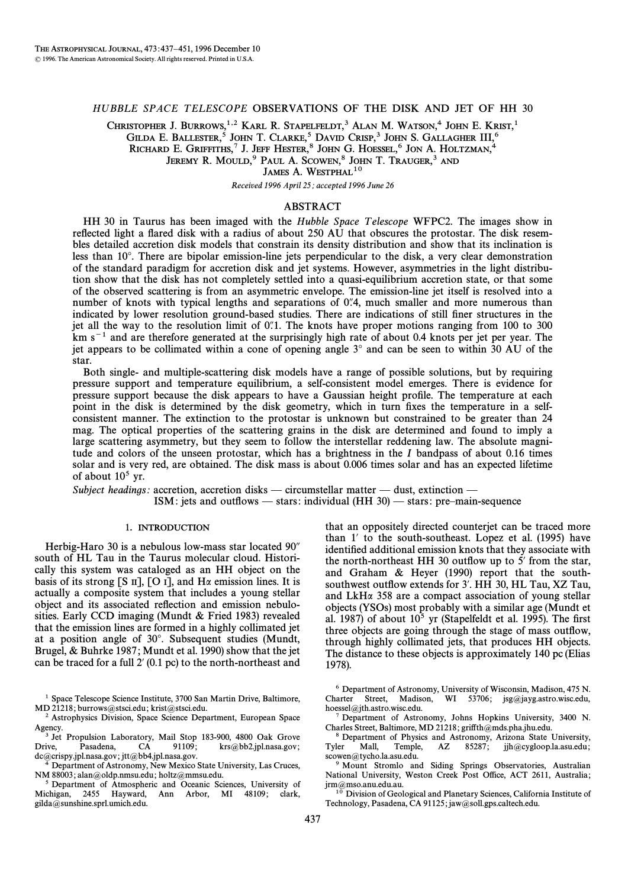# HUBBLE SPACE TELESCOPE OBSERVATIONS OF THE DISK AND JET OF HH 30

CHRISTOPHER J. BURROWS,<sup>1,2</sup> KARL R. STAPELFELDT,<sup>3</sup> ALAN M. WATSON,<sup>4</sup> JOHN E. KRIST,<sup>1</sup> GILDA E. BALLESTER, $^5$  JOHN T. Clarke, $^5$  David Crisp, $^3$  John S. Gallagher III, $^6$ Richard E. Griffiths, $^7$  J. Jeff Hester, $^8$  John G. Hoessel, $^6$  Jon A. Holtzman, $^4$ 

JEREMY R. MOULD,<sup>9</sup> PAUL A. SCOWEN,<sup>8</sup> JOHN T. TRAUGER,<sup>3</sup> AND

JAMES A. WESTPHAL<sup>10</sup>

Received 1996 April 25; accepted 1996 June 26

## ABSTRACT

HH 30 in Taurus has been imaged with the *Hubble Space Telescope* WFPC2. The images show in reflected light a flared disk with a radius of about 250 AU that obscures the protostar. The disk resembles detailed accretion disk models that constrain its density distribution and show that its inclination is less than 10°. There are bipolar emission-line jets perpendicular to the disk, a very clear demonstration of the standard paradigm for accretion disk and jet systems. However, asymmetries in the light distribution show that the disk has not completely settled into a quasi-equilibrium accretion state, or that some of the observed scattering is from an asymmetric envelope. The emission-line jet itself is resolved into a number of knots with typical lengths and separations of 0.4, much smaller and more numerous than indicated by lower resolution ground-based studies. There are indications of still finer structures in the jet all the way to the resolution limit of  $0<sup>n</sup>$ . The knots have proper motions ranging from 100 to 300  $km s<sup>-1</sup>$  and are therefore generated at the surprisingly high rate of about 0.4 knots per jet per year. The jet appears to be collimated within a cone of opening angle  $3^\circ$  and can be seen to within  $30 \text{ AU}$  of the star.

Both single- and multiple-scattering disk models have a range of possible solutions, but by requiring pressure support and temperature equilibrium, a self-consistent model emerges. There is evidence for pressure support because the disk appears to have a Gaussian height profile. The temperature at each point in the disk is determined by the disk geometry, which in turn fixes the temperature in a selfconsistent manner. The extinction to the protostar is unknown but constrained to be greater than 24 mag. The optical properties of the scattering grains in the disk are determined and found to imply a large scattering asymmetry, but they seem to follow the interstellar reddening law. The absolute magnitude and colors of the unseen protostar, which has a brightness in the I bandpass of about 0.16 times solar and is very red, are obtained. The disk mass is about 0.006 times solar and has an expected lifetime of about  $10^5$  yr.

Subject headings: accretion, accretion disks — circumstellar matter — dust, extinction — ISM: jets and outflows — stars: individual (HH 30) — stars: pre-main-sequence

## 1. INTRODUCTION

Herbig-Haro 30 is a nebulous low-mass star located  $90<sup>′</sup>$ south of HL Tau in the Taurus molecular cloud. Historically this system was cataloged as an HH object on the basis of its strong [S  $\text{II}$ ], [O  $\text{I}$ ], and H $\alpha$  emission lines. It is actually a composite system that includes a young stellar object and its associated reflection and emission nebulosities. Early CCD imaging (Mundt  $&$  Fried 1983) revealed that the emission lines are formed in a highly collimated jet at a position angle of 30°. Subsequent studies (Mundt, Brugel, & Buhrke 1987; Mundt et al. 1990) show that the jet can be traced for a full  $2'$  (0.1 pc) to the north-northeast and

<sup>1</sup> Space Telescope Science Institute, 3700 San Martin Drive, Baltimore, MD 21218; burrows@stsci.edu; krist@stsci.edu.

<sup>3</sup> Jet Propulsion Laboratory, Mail Stop 183-900, 4800 Oak Grove<br>rive. Pasadena, CA 91109; krs@bb2.jpl.nasa.gov; Drive, Pasadena, CA 91109;  $krs@bb2.jp1.nasa.gov;$ dc@crispy.jpl.nasa.gov; jtt@bb4.jpl.nasa.gov.

4 Department of Astronomy, New Mexico State University, Las Cruces, NM 88003; alan@oldp.nmsu.edu; holtz@mmsu.edu.

5 Department of Atmospheric and Oceanic Sciences, University of Michigan, 2455 Hayward, Ann Arbor, MI 48109; clark, gilda@sunshine.sprl.umich.edu.

that an oppositely directed counterjet can be traced more than  $1'$  to the south-southeast. Lopez et al. (1995) have identified additional emission knots that they associate with the north-northeast HH 30 outflow up to  $5'$  from the star, and Graham  $\&$  Heyer (1990) report that the southsouthwest outflow extends for 3'. HH 30, HL Tau, XZ Tau, and  $LkH\alpha$  358 are a compact association of young stellar objects (YSOs) most probably with a similar age (Mundt et al. 1987) of about  $10^5$  yr (Stapelfeldt et al. 1995). The first three objects are going through the stage of mass outflow, through highly collimated jets, that produces HH objects. The distance to these objects is approximately 140 pc (Elias 1978).

<sup>6</sup> Department of Astronomy, University of Wisconsin, Madison, 475 N.<br>Charter Street, Madison, WI 53706; jsg@jayg.astro.wisc.edu, WI 53706; jsg@jayg.astro.wisc.edu, hoessel@jth.astro.wisc.edu.

7 Department of Astronomy, Johns Hopkins University, 3400 N. Charles Street, Baltimore, MD 21218; griffth@mds.pha.jhu.edu.

<sup>8</sup> Department of Physics and Astronomy, Arizona State University, Tyler Mall, Temple, AZ 85287; iih@cvgloop.la.asu.edu: Mall, Temple, AZ 85287; jjh@cygloop.la.asu.edu; scowen@tycho.la.asu.edu.

<sup>9</sup> Mount Stromlo and Siding Springs Observatories, Australian National University, Weston Creek Post Office, ACT 2611, Australia; jrm@mso.anu.edu.au.

<sup>10</sup> Division of Geological and Planetary Sciences, California Institute of Technology, Pasadena, CA 91125; jaw@soll.gps.caltech.edu.

<sup>2</sup> Astrophysics Division, Space Science Department, European Space Agency.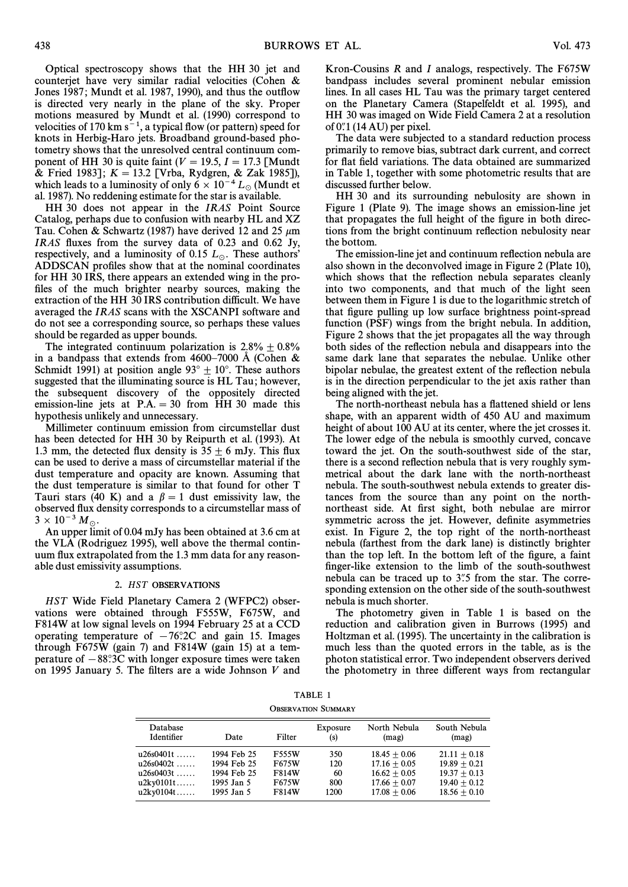Optical spectroscopy shows that the HH 30 jet and counterjet have very similar radial velocities (Cohen  $\&$ Jones 1987; Mundt et al. 1987, 1990), and thus the outflow is directed very nearly in the plane of the sky. Proper motions measured by Mundt et al. (1990) correspond to velocities of 170 km  $s^{-1}$ , a typical flow (or pattern) speed for knots in Herbig-Haro jets. Broadband ground-based photometry shows that the unresolved central continuum component of HH 30 is quite faint ( $V = 19.5$ ,  $I = 17.3$  [Mundt] & Fried 1983];  $K = 13.2$  [Vrba, Rydgren, & Zak 1985]), which leads to a luminosity of only  $6 \times 10^{-4} L_{\odot}$  (Mundt et al. 1987). No reddening estimate for the star is available.

HH 30 does not appear in the IRAS Point Source Catalog, perhaps due to confusion with nearby HL and XZ Tau. Cohen & Schwartz (1987) have derived 12 and 25  $\mu$ m IRAS Ñuxes from the survey data of 0.23 and 0.62 Jy, respectively, and a luminosity of 0.15  $L_{\odot}$ . These authors' ADDSCAN profiles show that at the nominal coordinates for HH 30 IRS, there appears an extended wing in the profiles of the much brighter nearby sources, making the extraction of the HH 30 IRS contribution difficult. We have averaged the IRAS scans with the XSCANPI software and do not see a corresponding source, so perhaps these values should be regarded as upper bounds.

The integrated continuum polarization is  $2.8\% \pm 0.8\%$ in a bandpass that extends from  $4600-7000$  Å (Cohen & Schmidt 1991) at position angle 93 $^{\circ}$  + 10°. These authors suggested that the illuminating source is HL Tau; however, the subsequent discovery of the oppositely directed emission-line jets at  $P.A. = 30$  from HH 30 made this hypothesis unlikely and unnecessary.

Millimeter continuum emission from circumstellar dust has been detected for HH 30 by Reipurth et al. (1993). At 1.3 mm, the detected flux density is  $35 \pm 6$  mJy. This flux can be used to derive a mass of circumstellar material if the dust temperature and opacity are known. Assuming that the dust temperature is similar to that found for other T Tauri stars (40 K) and a  $\beta = 1$  dust emissivity law, the observed flux density corresponds to a circumstellar mass of  $3 \times 10^{-3} M_{\odot}.$ 

An upper limit of 0.04 mJy has been obtained at 3.6 cm at the VLA (Rodriguez 1995), well above the thermal continuum flux extrapolated from the 1.3 mm data for any reasonable dust emissivity assumptions.

#### 2. HST OBSERVATIONS

HST Wide Field Planetary Camera 2 (WFPC2) observations were obtained through F555W, F675W, and F814W at low signal levels on 1994 February 25 at a CCD operating temperature of  $-76°.2C$  and gain 15. Images through F675W (gain 7) and F814W (gain 15) at a temperature of  $-88°.3C$  with longer exposure times were taken on 1995 January 5. The filters are a wide Johnson  $V$  and

Kron-Cousins R and I analogs, respectively. The F675W bandpass includes several prominent nebular emission lines. In all cases HL Tau was the primary target centered on the Planetary Camera (Stapelfeldt et al. 1995), and HH 30 was imaged on Wide Field Camera 2 at a resolution of  $0$ .''  $(14 AU)$  per pixel.

The data were subjected to a standard reduction process primarily to remove bias, subtract dark current, and correct for flat field variations. The data obtained are summarized in Table 1, together with some photometric results that are discussed further below.

HH 30 and its surrounding nebulosity are shown in Figure 1 (Plate 9). The image shows an emission-line jet that propagates the full height of the figure in both directions from the bright continuum reflection nebulosity near the bottom.

The emission-line jet and continuum reflection nebula are also shown in the deconvolved image in Figure 2 (Plate 10), which shows that the reflection nebula separates cleanly into two components, and that much of the light seen between them in Figure 1 is due to the logarithmic stretch of that figure pulling up low surface brightness point-spread function (PSF) wings from the bright nebula. In addition, Figure 2 shows that the jet propagates all the way through both sides of the reflection nebula and disappears into the same dark lane that separates the nebulae. Unlike other bipolar nebulae, the greatest extent of the reflection nebula is in the direction perpendicular to the jet axis rather than being aligned with the jet.

The north-northeast nebula has a flattened shield or lens shape, with an apparent width of 450 AU and maximum height of about 100 AU at its center, where the jet crosses it. The lower edge of the nebula is smoothly curved, concave toward the jet. On the south-southwest side of the star, there is a second reflection nebula that is very roughly symmetrical about the dark lane with the north-northeast nebula. The south-southwest nebula extends to greater distances from the source than any point on the northnortheast side. At first sight, both nebulae are mirror symmetric across the jet. However, definite asymmetries exist. In Figure 2, the top right of the north-northeast nebula (farthest from the dark lane) is distinctly brighter than the top left. In the bottom left of the figure, a faint finger-like extension to the limb of the south-southwest nebula can be traced up to 3.5 from the star. The corresponding extension on the other side of the south-southwest nebula is much shorter.

The photometry given in Table 1 is based on the reduction and calibration given in Burrows (1995) and Holtzman et al. (1995). The uncertainty in the calibration is much less than the quoted errors in the table, as is the photon statistical error. Two independent observers derived the photometry in three different ways from rectangular

TABLE 1 OBSERVATION SUBMARY

| Database<br>Identifier                                            | Date                                                                  | Filter                                                         | Exposure<br>(s)                 | North Nebula<br>(mag)                                                                  | South Nebula<br>(mag)                                                                  |
|-------------------------------------------------------------------|-----------------------------------------------------------------------|----------------------------------------------------------------|---------------------------------|----------------------------------------------------------------------------------------|----------------------------------------------------------------------------------------|
| u26s0401t<br>$u26s0402t$<br>$u26s0403t$<br>u2kv0101t<br>u2ky0104t | 1994 Feb 25<br>1994 Feb 25<br>1994 Feb 25<br>1995 Jan 5<br>1995 Jan 5 | <b>F555W</b><br>F675W<br><b>F814W</b><br>F675W<br><b>F814W</b> | 350<br>120<br>60<br>800<br>1200 | $18.45 + 0.06$<br>$17.16 + 0.05$<br>$16.62 + 0.05$<br>$17.66 + 0.07$<br>$17.08 + 0.06$ | $21.11 + 0.18$<br>$19.89 + 0.21$<br>$19.37 + 0.13$<br>$19.40 + 0.12$<br>$18.56 + 0.10$ |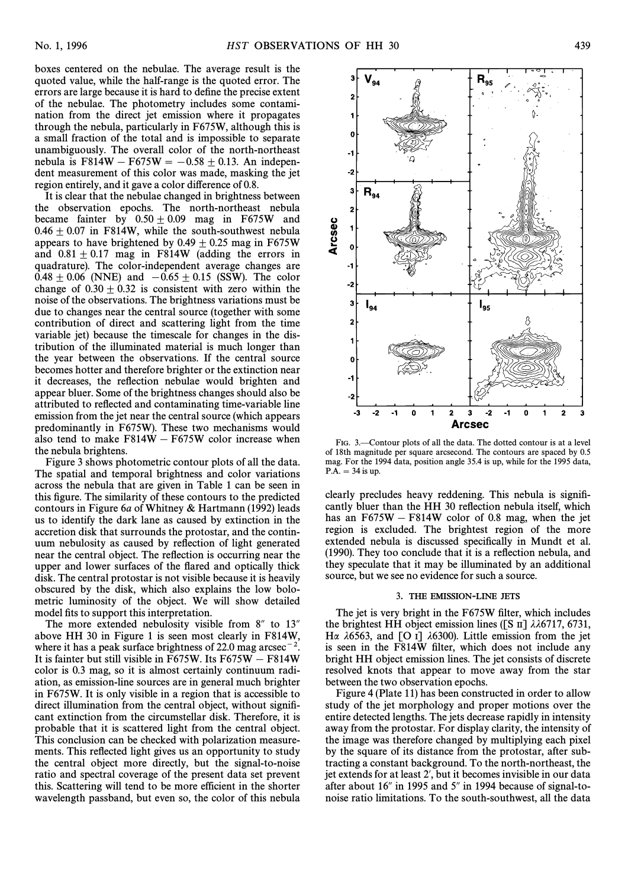boxes centered on the nebulae. The average result is the quoted value, while the half-range is the quoted error. The errors are large because it is hard to define the precise extent of the nebulae. The photometry includes some contamination from the direct jet emission where it propagates through the nebula, particularly in F675W, although this is a small fraction of the total and is impossible to separate unambiguously. The overall color of the north-northeast nebula is F814W - F675W =  $-0.58 \pm 0.13$ . An independent measurement of this color was made, masking the jet region entirely, and it gave a color difference of 0.8.

It is clear that the nebulae changed in brightness between the observation epochs. The north-northeast nebula became fainter by  $0.50 \pm 0.09$  mag in F675W and  $0.46 \pm 0.07$  in F814W, while the south-southwest nebula appears to have brightened by 0.49  $\pm$  0.25 mag in F675W and  $0.81 \pm 0.17$  mag in F814W (adding the errors in quadrature). The color-independent average changes are  $0.48 \pm 0.06$  (NNE) and  $-0.65 \pm 0.15$  (SSW). The color change of  $0.30 \pm 0.32$  is consistent with zero within the noise of the observations. The brightness variations must be due to changes near the central source (together with some contribution of direct and scattering light from the time variable jet) because the timescale for changes in the distribution of the illuminated material is much longer than the year between the observations. If the central source becomes hotter and therefore brighter or the extinction near it decreases, the reflection nebulae would brighten and appear bluer. Some of the brightness changes should also be attributed to reflected and contaminating time-variable line emission from the jet near the central source (which appears predominantly in F675W). These two mechanisms would also tend to make  $F814W - F675W$  color increase when the nebula brightens.

Figure 3 shows photometric contour plots of all the data. The spatial and temporal brightness and color variations across the nebula that are given in Table 1 can be seen in this figure. The similarity of these contours to the predicted contours in Figure 6a of Whitney & Hartmann (1992) leads us to identify the dark lane as caused by extinction in the accretion disk that surrounds the protostar, and the continuum nebulosity as caused by reflection of light generated near the central object. The reflection is occurring near the upper and lower surfaces of the flared and optically thick disk. The central protostar is not visible because it is heavily obscured by the disk, which also explains the low bolometric luminosity of the object. We will show detailed model fits to support this interpretation.

The more extended nebulosity visible from  $8''$  to  $13''$ above HH 30 in Figure 1 is seen most clearly in F814W, where it has a peak surface brightness of 22.0 mag arcsec<sup>-2</sup>. It is fainter but still visible in F675W. Its  $F675W - F814W$ color is 0.3 mag, so it is almost certainly continuum radiation, as emission-line sources are in general much brighter in F675W. It is only visible in a region that is accessible to direct illumination from the central object, without signiÐcant extinction from the circumstellar disk. Therefore, it is probable that it is scattered light from the central object. This conclusion can be checked with polarization measurements. This reflected light gives us an opportunity to study the central object more directly, but the signal-to-noise ratio and spectral coverage of the present data set prevent this. Scattering will tend to be more efficient in the shorter wavelength passband, but even so, the color of this nebula



FIG. 3.—Contour plots of all the data. The dotted contour is at a level of 18th magnitude per square arcsecond. The contours are spaced by 0.5 mag. For the 1994 data, position angle 35.4 is up, while for the 1995 data,  $P.A. = 34$  is up.

clearly precludes heavy reddening. This nebula is signiÐcantly bluer than the HH 30 reflection nebula itself, which has an  $F675W - F814W$  color of 0.8 mag, when the jet region is excluded. The brightest region of the more extended nebula is discussed specifically in Mundt et al. (1990). They too conclude that it is a reflection nebula, and they speculate that it may be illuminated by an additional source, but we see no evidence for such a source.

#### 3. THE EMISSION-LINE JETS

The jet is very bright in the F675W filter, which includes the brightest HH object emission lines ([S  $\text{II}$ ]  $\lambda\lambda$ 6717, 6731, H $\alpha$   $\lambda$ 6563, and [O I]  $\lambda$ 6300). Little emission from the jet is seen in the F814W filter, which does not include any bright HH object emission lines. The jet consists of discrete resolved knots that appear to move away from the star between the two observation epochs.

Figure 4 (Plate 11) has been constructed in order to allow study of the jet morphology and proper motions over the entire detected lengths. The jets decrease rapidly in intensity away from the protostar. For display clarity, the intensity of the image was therefore changed by multiplying each pixel by the square of its distance from the protostar, after subtracting a constant background. To the north-northeast, the jet extends for at least 2', but it becomes invisible in our data after about  $16''$  in 1995 and  $5''$  in 1994 because of signal-tonoise ratio limitations. To the south-southwest, all the data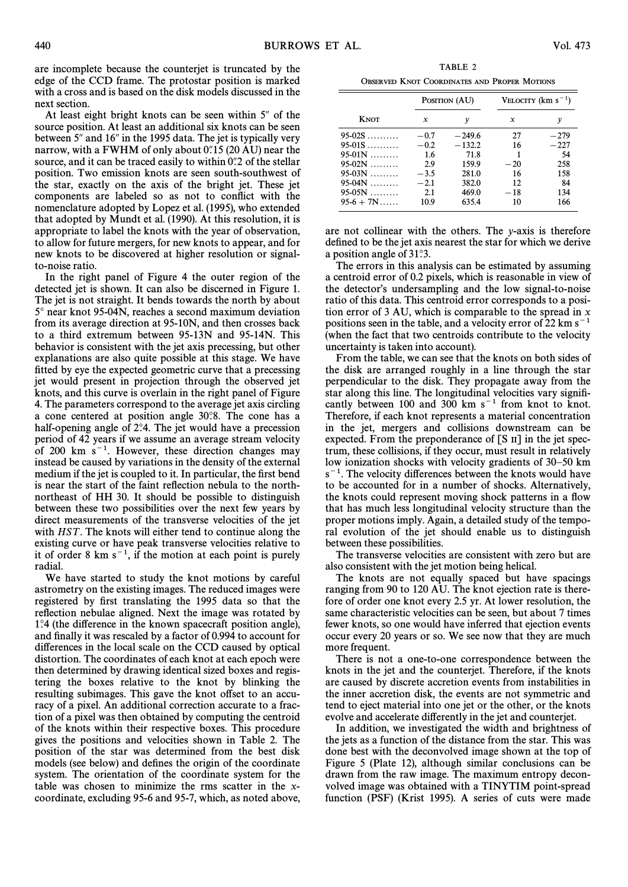are incomplete because the counterjet is truncated by the edge of the CCD frame. The protostar position is marked with a cross and is based on the disk models discussed in the next section.

At least eight bright knots can be seen within  $5^{\prime\prime}$  of the source position. At least an additional six knots can be seen between 5" and 16" in the 1995 data. The jet is typically very narrow, with a FWHM of only about  $0.15$  (20 AU) near the source, and it can be traced easily to within  $0\degree$  2 of the stellar position. Two emission knots are seen south-southwest of the star, exactly on the axis of the bright jet. These jet components are labeled so as not to conflict with the nomenclature adopted by Lopez et al. (1995), who extended that adopted by Mundt et al. (1990). At this resolution, it is appropriate to label the knots with the year of observation, to allow for future mergers, for new knots to appear, and for new knots to be discovered at higher resolution or signalto-noise ratio.

In the right panel of Figure 4 the outer region of the detected jet is shown. It can also be discerned in Figure 1. The jet is not straight. It bends towards the north by about 5° near knot 95-04N, reaches a second maximum deviation from its average direction at 95-10N, and then crosses back to a third extremum between 95-13N and 95-14N. This behavior is consistent with the jet axis precessing, but other explanations are also quite possible at this stage. We have fitted by eye the expected geometric curve that a precessing jet would present in projection through the observed jet knots, and this curve is overlain in the right panel of Figure 4. The parameters correspond to the average jet axis circling a cone centered at position angle 30°.8. The cone has a half-opening angle of  $2^{\circ}$ . The jet would have a precession period of 42 years if we assume an average stream velocity of 200 km  $s^{-1}$ . However, these direction changes may instead be caused by variations in the density of the external medium if the jet is coupled to it. In particular, the first bend is near the start of the faint reflection nebula to the northnortheast of HH 30. It should be possible to distinguish between these two possibilities over the next few years by direct measurements of the transverse velocities of the jet with  $HST$ . The knots will either tend to continue along the existing curve or have peak transverse velocities relative to it of order 8 km  $s^{-1}$ , if the motion at each point is purely radial.

We have started to study the knot motions by careful astrometry on the existing images. The reduced images were registered by first translating the 1995 data so that the reflection nebulae aligned. Next the image was rotated by 1¡.4 (the di†erence in the known spacecraft position angle), and finally it was rescaled by a factor of 0.994 to account for differences in the local scale on the CCD caused by optical distortion. The coordinates of each knot at each epoch were then determined by drawing identical sized boxes and registering the boxes relative to the knot by blinking the resulting subimages. This gave the knot offset to an accuracy of a pixel. An additional correction accurate to a fraction of a pixel was then obtained by computing the centroid of the knots within their respective boxes. This procedure gives the positions and velocities shown in Table 2. The position of the star was determined from the best disk models (see below) and defines the origin of the coordinate system. The orientation of the coordinate system for the table was chosen to minimize the rms scatter in the xcoordinate, excluding 95-6 and 95-7, which, as noted above,

TABLE 2 OBSERVED KNOT COORDINATES AND PROPER MOTIONS

|             |         | POSITION (AU) | VELOCITY $(km s^{-1})$ |        |  |
|-------------|---------|---------------|------------------------|--------|--|
| KNOT        | x       | ν             | x                      | ν      |  |
| $95-02S$    | $-0.7$  | $-249.6$      | 27                     | $-279$ |  |
| $95-01S$    | $-0.2$  | $-132.2$      | 16                     | $-227$ |  |
| $95-01N$    | $1.6\,$ | 71.8          |                        | 54     |  |
| $95-02N$    | 2.9     | 159.9         | $-20$                  | 258    |  |
| $95-03N$    | $-3.5$  | 281.0         | 16                     | 158    |  |
| $95-04N$    | $-2.1$  | 382.0         | 12                     | 84     |  |
| $95-05N$    | 2.1     | 469.0         | $-18$                  | 134    |  |
| $95-6 + 7N$ | 10.9    | 635.4         | 10                     | 166    |  |

are not collinear with the others. The y-axis is therefore defined to be the jet axis nearest the star for which we derive a position angle of 31°3.

The errors in this analysis can be estimated by assuming a centroid error of 0.2 pixels, which is reasonable in view of the detector's undersampling and the low signal-to-noise ratio of this data. This centroid error corresponds to a position error of 3 AU, which is comparable to the spread in  $x$ positions seen in the table, and a velocity error of 22 km  $s^{-1}$ (when the fact that two centroids contribute to the velocity uncertainty is taken into account).

From the table, we can see that the knots on both sides of the disk are arranged roughly in a line through the star perpendicular to the disk. They propagate away from the star along this line. The longitudinal velocities vary signiÐcantly between 100 and 300 km  $s^{-1}$  from knot to knot. Therefore, if each knot represents a material concentration in the jet, mergers and collisions downstream can be expected. From the preponderance of  $[S \text{ }  $\Pi$ ]$  in the jet spectrum, these collisions, if they occur, must result in relatively low ionization shocks with velocity gradients of  $30-50$  km  $s^{-1}$ . The velocity differences between the knots would have to be accounted for in a number of shocks. Alternatively, the knots could represent moving shock patterns in a Ñow that has much less longitudinal velocity structure than the proper motions imply. Again, a detailed study of the temporal evolution of the jet should enable us to distinguish between these possibilities.

The transverse velocities are consistent with zero but are also consistent with the jet motion being helical.

The knots are not equally spaced but have spacings ranging from 90 to 120 AU. The knot ejection rate is therefore of order one knot every 2.5 yr. At lower resolution, the same characteristic velocities can be seen, but about 7 times fewer knots, so one would have inferred that ejection events occur every 20 years or so. We see now that they are much more frequent.

There is not a one-to-one correspondence between the knots in the jet and the counterjet. Therefore, if the knots are caused by discrete accretion events from instabilities in the inner accretion disk, the events are not symmetric and tend to eject material into one jet or the other, or the knots evolve and accelerate differently in the jet and counterjet.

In addition, we investigated the width and brightness of the jets as a function of the distance from the star. This was done best with the deconvolved image shown at the top of Figure 5 (Plate 12), although similar conclusions can be drawn from the raw image. The maximum entropy deconvolved image was obtained with a TINYTIM point-spread function (PSF) (Krist 1995). A series of cuts were made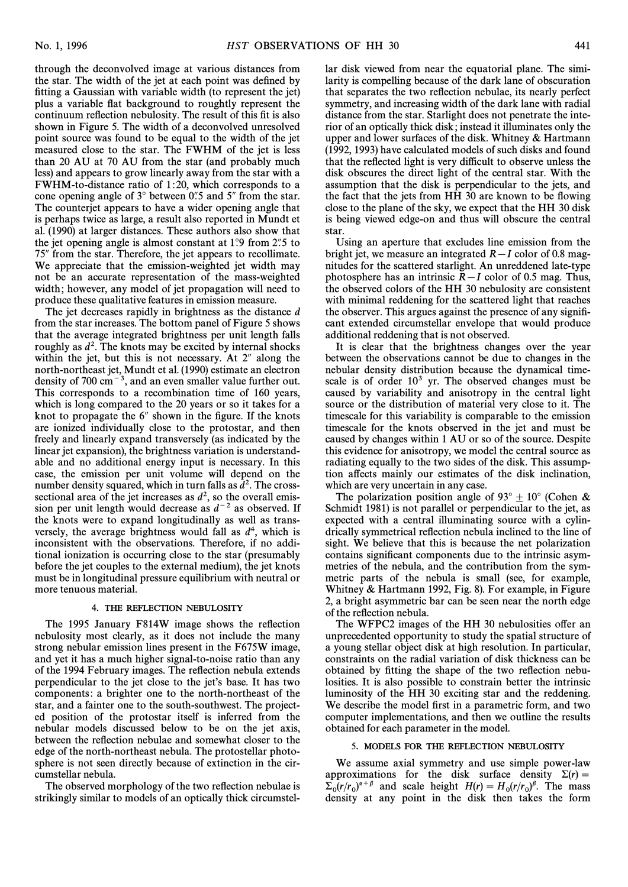through the deconvolved image at various distances from the star. The width of the jet at each point was defined by fitting a Gaussian with variable width (to represent the jet) plus a variable Ñat background to roughtly represent the continuum reflection nebulosity. The result of this fit is also shown in Figure 5. The width of a deconvolved unresolved point source was found to be equal to the width of the jet measured close to the star. The FWHM of the jet is less than 20 AU at 70 AU from the star (and probably much less) and appears to grow linearly away from the star with a FWHM-to-distance ratio of 1:20, which corresponds to a cone opening angle of  $3^\circ$  between 0. and  $5''$  from the star. The counterjet appears to have a wider opening angle that is perhaps twice as large, a result also reported in Mundt et al. (1990) at larger distances. These authors also show that the jet opening angle is almost constant at  $1^\circ$ .9 from 2.75 to 75" from the star. Therefore, the jet appears to recollimate. We appreciate that the emission-weighted jet width may not be an accurate representation of the mass-weighted width; however, any model of jet propagation will need to produce these qualitative features in emission measure.

The jet decreases rapidly in brightness as the distance d from the star increases. The bottom panel of Figure 5 shows that the average integrated brightness per unit length falls roughly as  $d^2$ . The knots may be excited by internal shocks within the jet, but this is not necessary. At  $2<sup>n</sup>$  along the north-northeast jet, Mundt et al. (1990) estimate an electron density of 700  $\text{cm}^{-3}$ , and an even smaller value further out. This corresponds to a recombination time of 160 years, which is long compared to the 20 years or so it takes for a knot to propagate the  $6''$  shown in the figure. If the knots are ionized individually close to the protostar, and then freely and linearly expand transversely (as indicated by the linear jet expansion), the brightness variation is understandable and no additional energy input is necessary. In this case, the emission per unit volume will depend on the number density squared, which in turn falls as  $d^2$ . The crosssectional area of the jet increases as  $d^2$ , so the overall emission per unit length would decrease as  $d^{-2}$  as observed. If the knots were to expand longitudinally as well as transversely, the average brightness would fall as  $d^4$ , which is inconsistent with the observations. Therefore, if no additional ionization is occurring close to the star (presumably before the jet couples to the external medium), the jet knots must be in longitudinal pressure equilibrium with neutral or more tenuous material.

## 4. THE REFLECTION NEBULOSITY

The 1995 January F814W image shows the reflection nebulosity most clearly, as it does not include the many strong nebular emission lines present in the F675W image, and yet it has a much higher signal-to-noise ratio than any of the 1994 February images. The reflection nebula extends perpendicular to the jet close to the jet's base. It has two components: a brighter one to the north-northeast of the star, and a fainter one to the south-southwest. The projected position of the protostar itself is inferred from the nebular models discussed below to be on the jet axis, between the reflection nebulae and somewhat closer to the edge of the north-northeast nebula. The protostellar photosphere is not seen directly because of extinction in the circumstellar nebula.

The observed morphology of the two reflection nebulae is strikingly similar to models of an optically thick circumstellar disk viewed from near the equatorial plane. The similarity is compelling because of the dark lane of obscuration that separates the two reflection nebulae, its nearly perfect symmetry, and increasing width of the dark lane with radial distance from the star. Starlight does not penetrate the interior of an optically thick disk; instead it illuminates only the upper and lower surfaces of the disk. Whitney & Hartmann (1992, 1993) have calculated models of such disks and found that the reflected light is very difficult to observe unless the disk obscures the direct light of the central star. With the assumption that the disk is perpendicular to the jets, and the fact that the jets from HH 30 are known to be flowing close to the plane of the sky, we expect that the HH 30 disk is being viewed edge-on and thus will obscure the central star.

Using an aperture that excludes line emission from the bright jet, we measure an integrated  $R-I$  color of 0.8 magnitudes for the scattered starlight. An unreddened late-type photosphere has an intrinsic  $R-I$  color of 0.5 mag. Thus, the observed colors of the HH 30 nebulosity are consistent with minimal reddening for the scattered light that reaches the observer. This argues against the presence of any signiÐcant extended circumstellar envelope that would produce additional reddening that is not observed.

It is clear that the brightness changes over the year between the observations cannot be due to changes in the nebular density distribution because the dynamical timescale is of order  $10<sup>3</sup>$  yr. The observed changes must be caused by variability and anisotropy in the central light source or the distribution of material very close to it. The timescale for this variability is comparable to the emission timescale for the knots observed in the jet and must be caused by changes within 1 AU or so of the source. Despite this evidence for anisotropy, we model the central source as radiating equally to the two sides of the disk. This assumption affects mainly our estimates of the disk inclination, which are very uncertain in any case.

The polarization position angle of 93 $^{\circ}$  + 10 $^{\circ}$  (Cohen & Schmidt 1981) is not parallel or perpendicular to the jet, as expected with a central illuminating source with a cylindrically symmetrical reflection nebula inclined to the line of sight. We believe that this is because the net polarization contains significant components due to the intrinsic asymmetries of the nebula, and the contribution from the symmetric parts of the nebula is small (see, for example, Whitney & Hartmann 1992, Fig. 8). For example, in Figure 2, a bright asymmetric bar can be seen near the north edge of the reflection nebula.

The WFPC2 images of the HH 30 nebulosities offer an unprecedented opportunity to study the spatial structure of a young stellar object disk at high resolution. In particular, constraints on the radial variation of disk thickness can be obtained by fitting the shape of the two reflection nebulosities. It is also possible to constrain better the intrinsic luminosity of the HH 30 exciting star and the reddening. We describe the model first in a parametric form, and two computer implementations, and then we outline the results obtained for each parameter in the model.

#### 5. MODELS FOR THE REFLECTION NEBULOSITY

We assume axial symmetry and use simple power-law approximations for the disk surface density  $\Sigma(r) =$  $\Sigma_0 (r/r_0)^{\alpha+\beta}$  and scale height  $H(r) = H_0 (r/r_0)^{\beta}$ . The mass<br>density at any point in the disk than takes the form  $\frac{20(1)}{100}$  and search regin  $\frac{1}{10}$  –  $\frac{1}{100}$ ,  $\frac{1}{100}$ . The mass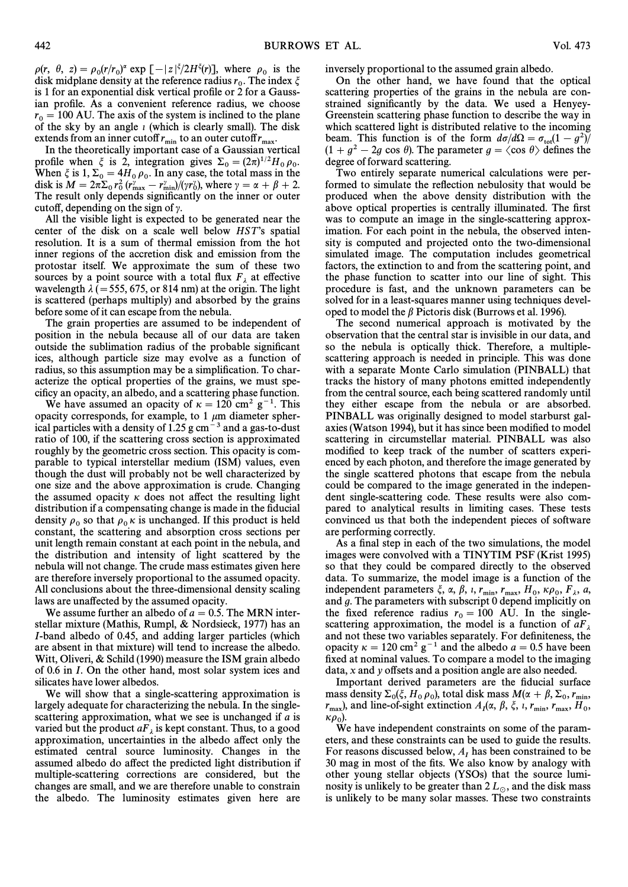$\rho(r, \theta, z) = \rho_0(r/r_0)^{\alpha} \exp[-|z|^{\xi}/2H^{\xi}(r)]$ , where  $\rho_0$  is the  $\lim_{\epsilon \to 0} \frac{\partial u}{\partial \epsilon} = \lim_{\epsilon \to 0} \frac{\partial u}{\partial \epsilon} = \lim_{\epsilon \to 0} \frac{\partial u}{\partial \epsilon} = \lim_{\epsilon \to 0} \frac{\partial u}{\partial \epsilon} = \lim_{\epsilon \to 0} \frac{\partial u}{\partial \epsilon} = \lim_{\epsilon \to 0} \frac{\partial u}{\partial \epsilon} = \lim_{\epsilon \to 0} \frac{\partial u}{\partial \epsilon} = \lim_{\epsilon \to 0} \frac{\partial u}{\partial \epsilon} = \lim_{\epsilon \to 0} \frac{\partial u}{\partial \epsilon} = \lim_{\epsilon \to 0} \frac{\partial u}{\partial \epsilon} =$ is 1 for an exponential disk vertical profile or 2 for a Gaussian profile. As a convenient reference radius, we choose  $r_0 = 100$  AU. The axis of the system is inclined to the plane of the sky by an angle  $\iota$  (which is clearly small). The disk extends from an inner cutoff  $r_{\text{min}}$  to an outer cutoff  $r_{\text{max}}$ .<br>In the theoretically important case of a Gaussian ve

In the theoretically important case of a Gaussian vertical profile when  $\xi$  is 2, integration gives  $\Sigma_0 = (2\pi)^{1/2}H_0 \rho_0$ .<br>When  $\xi$  is 1  $\Sigma = AH$  o. In any case the total mass in the When  $\xi$  is 1,  $\Sigma_0 = (H_0 \rho_0)$ .<br>
When  $\xi$  is 1,  $\Sigma_0 = 4H_0 \rho_0$ . In any case, the total mass in the<br>
disk is  $M = 2\pi \sum x^2 (\mu^y - \mu^2)$  //(ar) where a  $= \alpha + \beta + 2$ Where  $\gamma = 2\pi \sum_{0}^{\infty} (-r_{\text{max}}^2 - r_{\text{min}}^2) / (\gamma r_{\text{0}}^2)$ , where  $\gamma = \alpha + \beta + 2$ .<br>The result only denonds significantly on the inner or outer The result only depends significantly on the inner or outer cutoff, depending on the sign of  $\gamma$ .

All the visible light is expected to be generated near the center of the disk on a scale well below  $HST$ 's spatial resolution. It is a sum of thermal emission from the hot inner regions of the accretion disk and emission from the protostar itself. We approximate the sum of these two sources by a point source with a total flux  $F_{\lambda}$  at effective wavelength  $\lambda$  (= 555, 675, or 814 nm) at the origin. The light is scattered (perhaps multiply) and absorbed by the grains before some of it can escape from the nebula.

The grain properties are assumed to be independent of position in the nebula because all of our data are taken outside the sublimation radius of the probable significant ices, although particle size may evolve as a function of radius, so this assumption may be a simplification. To characterize the optical properties of the grains, we must specificy an opacity, an albedo, and a scattering phase function.

We have assumed an opacity of  $\kappa = 120$  cm<sup>2</sup> g<sup>-1</sup>. This opacity corresponds, for example, to 1  $\mu$ m diameter spherical particles with a density of  $1.25$  g cm<sup>-3</sup> and a gas-to-dust ratio of 100, if the scattering cross section is approximated roughly by the geometric cross section. This opacity is comparable to typical interstellar medium (ISM) values, even though the dust will probably not be well characterized by one size and the above approximation is crude. Changing the assumed opacity  $\kappa$  does not affect the resulting light distribution if a compensating change is made in the fiducial density  $\rho_0$  so that  $\rho_0 \kappa$  is unchanged. If this product is held constant, the scattering and absorption cross sections per constant, the scattering and absorption cross sections per unit length remain constant at each point in the nebula, and the distribution and intensity of light scattered by the nebula will not change. The crude mass estimates given here are therefore inversely proportional to the assumed opacity. All conclusions about the three-dimensional density scaling laws are unaffected by the assumed opacity.

We assume further an albedo of  $a = 0.5$ . The MRN interstellar mixture (Mathis, Rumpl, & Nordsieck, 1977) has an I-band albedo of 0.45, and adding larger particles (which are absent in that mixture) will tend to increase the albedo. Witt, Oliveri,  $&$  Schild (1990) measure the ISM grain albedo of 0.6 in I. On the other hand, most solar system ices and silicates have lower albedos.

We will show that a single-scattering approximation is largely adequate for characterizing the nebula. In the singlescattering approximation, what we see is unchanged if  $a$  is varied but the product  $aF_{\lambda}$  is kept constant. Thus, to a good approximation, uncertainties in the albedo affect only the estimated central source luminosity. Changes in the assumed albedo do affect the predicted light distribution if multiple-scattering corrections are considered, but the changes are small, and we are therefore unable to constrain the albedo. The luminosity estimates given here are inversely proportional to the assumed grain albedo.

On the other hand, we have found that the optical scattering properties of the grains in the nebula are constrained significantly by the data. We used a Henyey-Greenstein scattering phase function to describe the way in which scattered light is distributed relative to the incoming beam. This function is of the form  $d\sigma/d\Omega = \sigma_{tot}(1 - g^2)/$  $(1 + g^2 - 2g \cos \theta)$ . The parameter  $g = \langle \cos \theta \rangle$  defines the degree of forward scattering.

Two entirely separate numerical calculations were performed to simulate the reflection nebulosity that would be produced when the above density distribution with the above optical properties is centrally illuminated. The first was to compute an image in the single-scattering approximation. For each point in the nebula, the observed intensity is computed and projected onto the two-dimensional simulated image. The computation includes geometrical factors, the extinction to and from the scattering point, and the phase function to scatter into our line of sight. This procedure is fast, and the unknown parameters can be solved for in a least-squares manner using techniques developed to model the  $\beta$  Pictoris disk (Burrows et al. 1996).

The second numerical approach is motivated by the observation that the central star is invisible in our data, and so the nebula is optically thick. Therefore, a multiplescattering approach is needed in principle. This was done with a separate Monte Carlo simulation (PINBALL) that tracks the history of many photons emitted independently from the central source, each being scattered randomly until they either escape from the nebula or are absorbed. PINBALL was originally designed to model starburst galaxies (Watson 1994), but it has since been modified to model scattering in circumstellar material. PINBALL was also modified to keep track of the number of scatters experienced by each photon, and therefore the image generated by the single scattered photons that escape from the nebula could be compared to the image generated in the independent single-scattering code. These results were also compared to analytical results in limiting cases. These tests convinced us that both the independent pieces of software are performing correctly.

As a final step in each of the two simulations, the model images were convolved with a TINYTIM PSF (Krist 1995) so that they could be compared directly to the observed data. To summarize, the model image is a function of the independent parameters  $\xi$ ,  $\alpha$ ,  $\beta$ ,  $i$ ,  $r_{\text{min}}$ ,  $r_{\text{max}}$ ,  $H_0$ ,  $\kappa \rho_0$ ,  $F_{\lambda}$ ,  $a$ , and a The parameters with subscript 0 depend implicitly on and g. The parameters with subscript 0 depend implicitly on the fixed reference radius  $r_0 = 100$  AU. In the single-<br>scattering approximation, the model is a function of  $aF$ scattering approximation, the model is a function of  $aF_\lambda$  and not these two variables separately. For definiteness, the opacity  $\kappa = 120$  cm<sup>2</sup> g<sup>-1</sup> and the albedo  $a = 0.5$  have been fixed at nominal values. To compare a model to the imaging data,  $x$  and  $y$  offsets and a position angle are also needed.

Important derived parameters are the fiducial surface mass density  $\Sigma_0(\xi, H_0, \rho_0)$ , total disk mass  $M(\alpha + \beta, \Sigma_0, r_{\min},$ <br>r and line-of-sight extinction  $A(\alpha, \beta, \xi, r_{\min}, \mu)$ max, and line-of-sight extinction  $A_I(\alpha, \beta, \xi, t, r_{\min}, r_{\max}, H_0,$ <br>  $r_{\max}$ , and line-of-sight extinction  $A_I(\alpha, \beta, \xi, t, r_{\min}, r_{\max}, H_0,$  $\kappa \rho_{0}$ ).

We have independent constraints on some of the parameters, and these constraints can be used to guide the results. For reasons discussed below,  $A_I$  has been constrained to be 30 mag in most of the fits. We also know by analogy with other young stellar objects (YSOs) that the source luminosity is unlikely to be greater than  $2 L_{\odot}$ , and the disk mass is unlikely to be many solar masses. These two constraints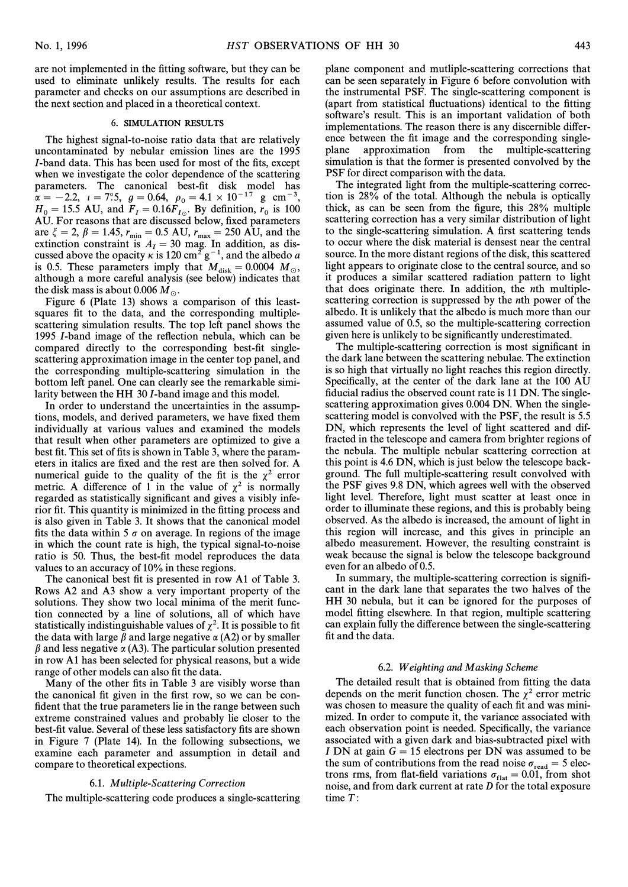are not implemented in the fitting software, but they can be used to eliminate unlikely results. The results for each parameter and checks on our assumptions are described in the next section and placed in a theoretical context.

#### 6. SIMULATION RESULTS

The highest signal-to-noise ratio data that are relatively uncontaminated by nebular emission lines are the 1995 I-band data. This has been used for most of the fits, except when we investigate the color dependence of the scattering parameters. The canonical best-fit disk model has  $\alpha = -2.2, \ i = 7^\circ.5, \ g = 0.64, \ \rho_0 = 4.1 \times 10^{-17} \text{ g cm}^{-3},$ <br>  $H = 15.5$  AII and  $F = 0.16F$ . By definition r is 100  $H_0 = 15.5$  AU, and  $F_I = 0.16F_{I_0}$ . By definition,  $r_0$  is 100 AU. For reasons that are discussed below, fixed parameters are  $\xi = 2$ ,  $\beta = 1.45$ ,  $r_{\text{min}} = 0.5$  AU,  $r_{\text{max}} = 250$  AU, and the extinction constraint is  $A = 30$  mag. In addition, as dis extinction constraint is  $A_I = 30$  mag. In addition, as discussed above the opacity  $\kappa$  is 120 cm<sup>2</sup>  $\alpha^{-1}$  and the albedo a cussed above the opacity  $\kappa$  is 120 cm<sup>2</sup> g<sup>-1</sup>, and the albedo a is 0.5. These parameters imply that  $M_{disk} = 0.0004$   $M_{\odot}$ ,<br>although a more careful analysis (see below) indicates that although a more careful analysis (see below) indicates that the disk mass is about 0.006  $M_{\odot}$ .

Figure 6 (Plate 13) shows a comparison of this leastsquares fit to the data, and the corresponding multiplescattering simulation results. The top left panel shows the 1995 *I*-band image of the reflection nebula, which can be compared directly to the corresponding best-fit singlescattering approximation image in the center top panel, and the corresponding multiple-scattering simulation in the bottom left panel. One can clearly see the remarkable similarity between the HH 30 I-band image and this model.

In order to understand the uncertainties in the assumptions, models, and derived parameters, we have fixed them individually at various values and examined the models that result when other parameters are optimized to give a best fit. This set of fits is shown in Table 3, where the parameters in italics are fixed and the rest are then solved for. A numerical guide to the quality of the fit is the  $\chi^2$  error metric. A difference of 1 in the value of  $\chi^2$  is normally regarded as statistically significant and gives a visibly inferior fit. This quantity is minimized in the fitting process and is also given in Table 3. It shows that the canonical model fits the data within 5  $\sigma$  on average. In regions of the image in which the count rate is high, the typical signal-to-noise ratio is 50. Thus, the best-fit model reproduces the data values to an accuracy of 10% in these regions.

The canonical best fit is presented in row A1 of Table 3. Rows A2 and A3 show a very important property of the solutions. They show two local minima of the merit function connected by a line of solutions, all of which have statistically indistinguishable values of  $\chi^2$ . It is possible to fit the data with large  $\beta$  and large negative  $\alpha$  (A2) or by smaller  $\beta$  and less negative  $\alpha$  (A3). The particular solution presented in row A1 has been selected for physical reasons, but a wide range of other models can also fit the data.

Many of the other fits in Table 3 are visibly worse than the canonical fit given in the first row, so we can be confident that the true parameters lie in the range between such extreme constrained values and probably lie closer to the best-fit value. Several of these less satisfactory fits are shown in Figure 7 (Plate 14). In the following subsections, we examine each parameter and assumption in detail and compare to theoretical expections.

## 6.1. Multiple-Scattering Correction

The multiple-scattering code produces a single-scattering

plane component and mutliple-scattering corrections that can be seen separately in Figure 6 before convolution with the instrumental PSF. The single-scattering component is (apart from statistical fluctuations) identical to the fitting software's result. This is an important validation of both implementations. The reason there is any discernible difference between the fit image and the corresponding singleplane approximation from the multiple-scattering simulation is that the former is presented convolved by the PSF for direct comparison with the data.

The integrated light from the multiple-scattering correction is 28% of the total. Although the nebula is optically thick, as can be seen from the figure, this 28% multiple scattering correction has a very similar distribution of light to the single-scattering simulation. A first scattering tends to occur where the disk material is densest near the central source. In the more distant regions of the disk, this scattered light appears to originate close to the central source, and so it produces a similar scattered radiation pattern to light that does originate there. In addition, the nth multiplescattering correction is suppressed by the nth power of the albedo. It is unlikely that the albedo is much more than our assumed value of 0.5, so the multiple-scattering correction given here is unlikely to be significantly underestimated.

The multiple-scattering correction is most significant in the dark lane between the scattering nebulae. The extinction is so high that virtually no light reaches this region directly. Specifically, at the center of the dark lane at the 100 AU fiducial radius the observed count rate is 11 DN. The singlescattering approximation gives 0.004 DN. When the singlescattering model is convolved with the PSF, the result is 5.5 DN, which represents the level of light scattered and diffracted in the telescope and camera from brighter regions of the nebula. The multiple nebular scattering correction at this point is 4.6 DN, which is just below the telescope background. The full multiple-scattering result convolved with the PSF gives 9.8 DN, which agrees well with the observed light level. Therefore, light must scatter at least once in order to illuminate these regions, and this is probably being observed. As the albedo is increased, the amount of light in this region will increase, and this gives in principle an albedo measurement. However, the resulting constraint is weak because the signal is below the telescope background even for an albedo of 0.5.

In summary, the multiple-scattering correction is signiÐcant in the dark lane that separates the two halves of the HH 30 nebula, but it can be ignored for the purposes of model fitting elsewhere. In that region, multiple scattering can explain fully the difference between the single-scattering fit and the data.

#### 6.2. W eighting and Masking Scheme

The detailed result that is obtained from fitting the data depends on the merit function chosen. The  $\chi^2$  error metric was chosen to measure the quality of each fit and was minimized. In order to compute it, the variance associated with each observation point is needed. Specifically, the variance associated with a given dark and bias-subtracted pixel with I DN at gain  $G = 15$  electrons per DN was assumed to be the sum of contributions from the read noise  $\sigma_{\text{read}} = 5$  elec-<br>trons rms, from flat-field variations  $\sigma_{\text{pred}} = 0.01$  from shot trons rms, from flat-field variations  $\sigma_{\text{flat}} = 0.01$ , from shot poise and from dark current at rate D for the total exposure noise, and from dark current at rate D for the total exposure time  $T$ :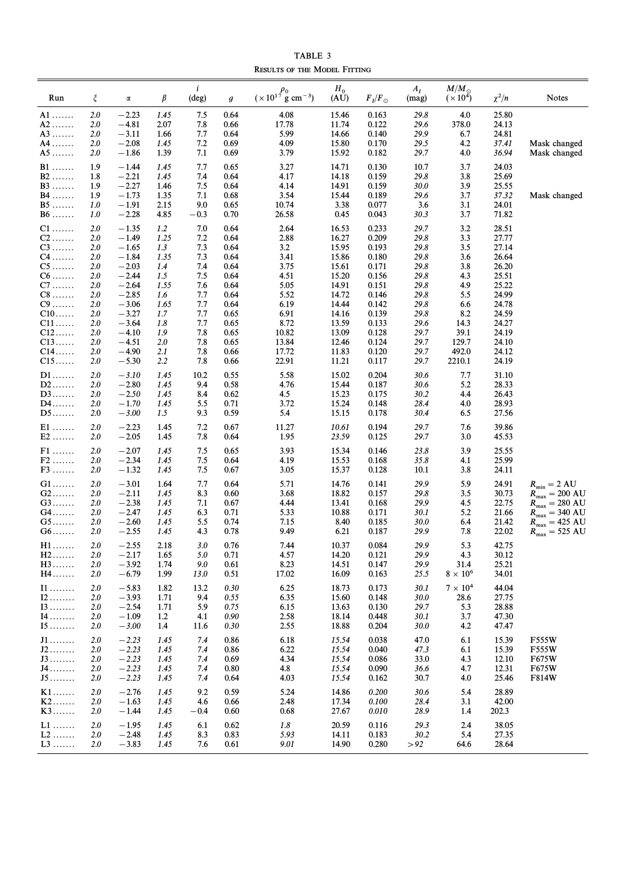TABLE 3 RESULTS OF THE MODEL FITTING

|                                   |            |                    |              | $\boldsymbol{i}$ |                  | $(x 10^{17} \frac{\rho_0}{g} \text{ cm}^{-3})$ | $H_0$          |                 | $A_I$        | $M/M_{\odot}$           |                |                                                                        |
|-----------------------------------|------------|--------------------|--------------|------------------|------------------|------------------------------------------------|----------------|-----------------|--------------|-------------------------|----------------|------------------------------------------------------------------------|
| Run                               | $\xi$      | α                  | $\beta$      | (deg)            | $\boldsymbol{g}$ |                                                | (AU)           | $F_I/F_{\odot}$ | (mag)        | $(x 10^4)$              | $\chi^2/n$     | Notes                                                                  |
| $A1$                              | 2.0        | $-2.23$            | 1.45         | 7.5              | 0.64             | 4.08                                           | 15.46          | 0.163           | 29.8         | 4.0                     | 25.80          |                                                                        |
| $A2$<br>$A3$                      | 2.0<br>2.0 | $-4.81$<br>$-3.11$ | 2.07<br>1.66 | 7.8<br>7.7       | 0.66<br>0.64     | 17.78<br>5.99                                  | 11.74<br>14.66 | 0.122<br>0.140  | 29.6<br>29.9 | 378.0<br>6.7            | 24.13<br>24.81 |                                                                        |
| A4                                | 2.0        | $-2.08$            | 1.45         | 7.2              | 0.69             | 4.09                                           | 15.80          | 0.170           | 29.5         | 4.2                     | 37.41          | Mask changed                                                           |
| $A5$                              | 2.0        | $-1.86$            | 1.39         | 7.1              | 0.69             | 3.79                                           | 15.92          | 0.182           | 29.7         | 4.0                     | 36.94          | Mask changed                                                           |
| $B1$                              | 1.9        | $-1.44$            | 1.45         | 7.7              | 0.65             | 3.27                                           | 14.71          | 0.130           | 10.7         | 3.7                     | 24.03          |                                                                        |
| $B2$                              | 1.8        | $-2.21$            | 1.45         | 7.4              | 0.64             | 4.17                                           | 14.18          | 0.159           | 29.8         | 3.8                     | 25.69          |                                                                        |
| $B3$                              | 1.9        | $-2.27$            | 1.46         | 7.5              | 0.64             | 4.14                                           | 14.91          | 0.159           | 30.0         | 3.9                     | 25.55          |                                                                        |
| $B4$<br>$B5$                      | 1.9<br>1.0 | $-1.73$<br>$-1.91$ | 1.35<br>2.15 | 7.1<br>9.0       | 0.68<br>0.65     | 3.54<br>10.74                                  | 15.44<br>3.38  | 0.189<br>0.077  | 29.6<br>3.6  | 3.7<br>3.1              | 37.32<br>24.01 | Mask changed                                                           |
| $B6$                              | 1.0        | $-2.28$            | 4.85         | $-0.3$           | 0.70             | 26.58                                          | 0.45           | 0.043           | 30.3         | 3.7                     | 71.82          |                                                                        |
| $C1$                              | 2.0        | $-1.35$            | 1.2          | 7.0              | 0.64             | 2.64                                           | 16.53          | 0.233           | 29.7         | 3.2                     | 28.51          |                                                                        |
| $C2$                              | 2.0        | $-1.49$            | 1.25         | 7.2              | 0.64             | 2.88                                           | 16.27          | 0.209           | 29.8         | 3.3                     | 27.77          |                                                                        |
| $C3$                              | 2.0        | $-1.65$            | 1.3          | 7.3              | 0.64             | 3.2                                            | 15.95          | 0.193           | 29.8         | 3.5                     | 27.14          |                                                                        |
| $C4$                              | 2.0        | $-1.84$            | 1.35         | 7.3              | 0.64             | 3.41                                           | 15.86          | 0.180           | 29.8<br>29.8 | 3.6                     | 26.64<br>26.20 |                                                                        |
| $C5$<br>$C6$                      | 2.0<br>2.0 | $-2.03$<br>$-2.44$ | 1.4<br>1.5   | 7.4<br>7.5       | 0.64<br>0.64     | 3.75<br>4.51                                   | 15.61<br>15.20 | 0.171<br>0.156  | 29.8         | 3.8<br>4.3              | 25.51          |                                                                        |
| $C7$                              | 2.0        | $-2.64$            | 1.55         | 7.6              | 0.64             | 5.05                                           | 14.91          | 0.151           | 29.8         | 4.9                     | 25.22          |                                                                        |
| $C8$                              | 2.0        | $-2.85$            | 1.6          | 7.7              | 0.64             | 5.52                                           | 14.72          | 0.146           | 29.8         | 5.5                     | 24.99          |                                                                        |
| $C9$                              | 2.0        | $-3.06$            | 1.65         | 7.7              | 0.64             | 6.19                                           | 14.44          | 0.142           | 29.8         | 6.6                     | 24.78          |                                                                        |
| $C10$                             | 2.0        | $-3.27$            | 1.7          | 7.7              | 0.65             | 6.91                                           | 14.16          | 0.139           | 29.8         | 8.2                     | 24.59          |                                                                        |
| $C11$                             | 2.0        | $-3.64$            | 1.8          | 7.7              | 0.65             | 8.72                                           | 13.59          | 0.133           | 29.6         | 14.3                    | 24.27          |                                                                        |
| $C12$<br>$C13$                    | 2.0<br>2.0 | $-4.10$<br>$-4.51$ | 1.9<br>2.0   | 7.8<br>7.8       | 0.65<br>0.65     | 10.82<br>13.84                                 | 13.09<br>12.46 | 0.128<br>0.124  | 29.7<br>29.7 | 39.1<br>129.7           | 24.19<br>24.10 |                                                                        |
| $C14$                             | 2.0        | $-4.90$            | 2.1          | 7.8              | 0.66             | 17.72                                          | 11.83          | 0.120           | 29.7         | 492.0                   | 24.12          |                                                                        |
| $C15$                             | 2.0        | $-5.30$            | 2.2          | 7.8              | 0.66             | 22.91                                          | 11.21          | 0.117           | 29.7         | 2210.1                  | 24.19          |                                                                        |
| $D1$                              | 2.0        | $-3.10$            | 1.45         | 10.2             | 0.55             | 5.58                                           | 15.02          | 0.204           | 30.6         | 7.7                     | 31.10          |                                                                        |
| $D2$                              | 2.0        | $-2.80$            | 1.45         | 9.4              | 0.58             | 4.76                                           | 15.44          | 0.187           | 30.6         | 5.2                     | 28.33          |                                                                        |
| $D3$                              | <b>2.0</b> | $-2.50$            | 1.45         | 8.4              | 0.62             | 4.5                                            | 15.23          | 0.175           | 30.2         | 4.4                     | 26.43          |                                                                        |
| $D4$<br>$D5$                      | 2.0<br>2.0 | $-1.70$<br>$-3.00$ | 1.45<br>1.5  | 5.5<br>9.3       | 0.71<br>0.59     | 3.72<br>5.4                                    | 15.24<br>15.15 | 0.148<br>0.178  | 28.4<br>30.4 | 4.0<br>6.5              | 28.93<br>27.56 |                                                                        |
| $E1$                              | 2.0        | $-2.23$            | 1.45         | 7.2              | 0.67             | 11.27                                          | 10.61          | 0.194           | 29.7         | 7.6                     | 39.86          |                                                                        |
| $E2$                              | 2.0        | $-2.05$            | 1.45         | 7.8              | 0.64             | 1.95                                           | 23.59          | 0.125           | 29.7         | 3.0                     | 45.53          |                                                                        |
| $F1$                              | 2.0        | $-2.07$            | 1.45         | 7.5              | 0.65             | 3.93                                           | 15.34          | 0.146           | 23.8         | 3.9                     | 25.55          |                                                                        |
| $F2$                              | 2.0        | $-2.34$            | 1.45         | 7.5              | 0.64             | 4.19                                           | 15.53          | 0.168           | 35.8         | 4.1                     | 25.99          |                                                                        |
| $F3$                              | 2.0        | $-1.32$            | 1.45         | 7.5              | 0.67             | 3.05                                           | 15.37          | 0.128           | 10.1         | 3.8                     | 24.11          |                                                                        |
| $G1$                              | 2.0        | $-3.01$            | 1.64         | 7.7              | 0.64             | 5.71                                           | 14.76          | 0.141           | 29.9         | 5.9                     | 24.91          | $R_{\min} = 2 \text{ AU}$                                              |
| G2                                | 2.0        | $-2.11$            | 1.45         | 8.3              | 0.60             | 3.68                                           | 18.82          | 0.157           | 29.8         | 3.5                     | 30.73          | $R_{\text{max}} = 200 \text{ AU}$                                      |
| $G3$                              | 2.0        | $-2.38$            | 1.45         | 7.1              | 0.67             | 4.44                                           | 13.41          | 0.168           | 29.9         | 4.5                     | 22.75          | $R_{\text{max}} = 280 \text{ AU}$                                      |
| G4<br>$G5$                        | 2.0<br>2.0 | $-2.47$<br>$-2.60$ | 1.45<br>1.45 | 6.3<br>5.5       | 0.71<br>0.74     | 5.33<br>7.15                                   | 10.88<br>8.40  | 0.171<br>0.185  | 30.1<br>30.0 | 5.2<br>6.4              | 21.66<br>21.42 | $R_{\text{max}} = 340 \text{ AU}$<br>$R_{\text{max}} = 425 \text{ AU}$ |
| $G6$                              | 2.0        | $-2.55$            | 1.45         | 4.3              | 0.78             | 9.49                                           | 6.21           | 0.187           | 29.9         | 7.8                     | 22.02          | $R_{\text{max}} = 525 \text{ AU}$                                      |
| $H1$                              | 2.0        | $-2.55$            | 2.18         | 3.0              | 0.76             | 7.44                                           | 10.37          | 0.084           | 29.9         | 5.3                     | 42.75          |                                                                        |
| $H2$                              | <b>2.0</b> | $-2.17$            | 1.65         | 5.0              | 0.71             | 4.57                                           | 14.20          | 0.121           | 29.9         | 4.3                     | 30.12          |                                                                        |
| $H3$<br>$H4$                      | 2.0<br>2.0 | $-3.92$<br>$-6.79$ | 1.74<br>1.99 | 9.0<br>13.0      | 0.61<br>0.51     | 8.23<br>17.02                                  | 14.51<br>16.09 | 0.147<br>0.163  | 29.9<br>25.5 | 31.4<br>$8 \times 10^6$ | 25.21<br>34.01 |                                                                        |
|                                   |            |                    |              |                  |                  |                                                |                |                 |              |                         |                |                                                                        |
| $\scriptstyle\rm II$              | 2.0        | $-5.83$            | 1.82         | 13.2             | 0.30             | 6.25                                           | 18.73          | 0.173           | 30.1         | $7 \times 10^4$         | 44.04          |                                                                        |
| $I2 \ldots$<br>$13 \ldots \ldots$ | 2.0<br>2.0 | $-3.93$<br>$-2.54$ | 1.71<br>1.71 | 9.4<br>5.9       | 0.55<br>0.75     | 6.35<br>6.15                                   | 15.60<br>13.63 | 0.148<br>0.130  | 30.0<br>29.7 | 28.6<br>5.3             | 27.75<br>28.88 |                                                                        |
| 14                                | <b>2.0</b> | $-1.09$            | 1.2          | 4.1              | 0.90             | 2.58                                           | 18.14          | 0.448           | 30.1         | 3.7                     | 47.30          |                                                                        |
| $I5$                              | 2.0        | $-3.00$            | 1.4          | 11.6             | 0.30             | 2.55                                           | 18.88          | 0.204           | 30.0         | 4.2                     | 47.47          |                                                                        |
| J1                                | 2.0        | $-2.23$            | 1.45         | 7.4              | 0.86             | 6.18                                           | 15.54          | 0.038           | 47.0         | 6.1                     | 15.39          | F555W                                                                  |
| $\mathtt{J2}\dots\dots\dots$      | 2.0        | $-2.23$            | 1.45         | 7.4              | 0.86             | 6.22                                           | 15.54          | 0.040           | 47.3         | 6.1                     | 15.39          | F555W                                                                  |
| J3                                | 2.0        | $-2.23$            | 1.45         | 7.4              | 0.69             | 4.34                                           | 15.54          | 0.086           | 33.0         | 4.3                     | 12.10          | F675W                                                                  |
| J4<br>$J5$                        | 2.0<br>2.0 | $-2.23$<br>$-2.23$ | 1.45<br>1.45 | 7.4<br>7.4       | 0.80<br>0.64     | 4.8<br>4.03                                    | 15.54<br>15.54 | 0.090<br>0.162  | 36.6<br>30.7 | 4.7<br>4.0              | 12.31<br>25.46 | F675W<br>F814W                                                         |
| $K1$                              | 2.0        | $-2.76$            | 1.45         | 9.2              | 0.59             | 5.24                                           | 14.86          | 0.200           | 30.6         | 5.4                     | 28.89          |                                                                        |
| $K2$                              | 2.0        | $-1.63$            | 1.45         | 4.6              | 0.66             | 2.48                                           | 17.34          | 0.100           | 28.4         | 3.1                     | 42.00          |                                                                        |
| $K3$                              | <b>2.0</b> | $-1.44$            | 1.45         | $-0.4$           | 0.60             | 0.68                                           | 27.67          | 0.010           | 28.9         | 1.4                     | 202.3          |                                                                        |
| $L1$                              | 2.0        | $-1.95$            | 1.45         | 6.1              | 0.62             | 1.8                                            | 20.59          | 0.116           | 29.3         | 2.4                     | 38.05          |                                                                        |
| $L2$                              | 2.0        | $-2.48$            | 1.45         | 8.3              | 0.83             | 5.93                                           | 14.11          | 0.183           | 30.2         | 5.4                     | 27.35          |                                                                        |
| $L3$                              | 2.0        | $-3.83$            | 1.45         | 7.6              | 0.61             | 9.01                                           | 14.90          | 0.280           | > 92         | 64.6                    | 28.64          |                                                                        |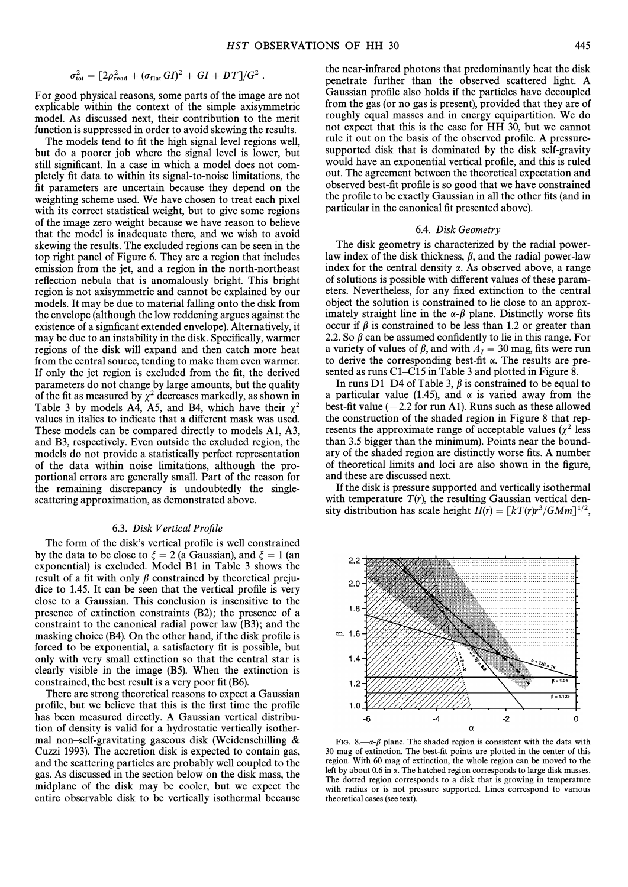$$
\sigma_{\text{tot}}^2 = \left[2\rho_{\text{read}}^2 + (\sigma_{\text{flat}} G I)^2 + G I + D T\right]/G^2.
$$

For good physical reasons, some parts of the image are not explicable within the context of the simple axisymmetric model. As discussed next, their contribution to the merit function is suppressed in order to avoid skewing the results.

The models tend to fit the high signal level regions well, but do a poorer job where the signal level is lower, but still significant. In a case in which a model does not completely Ðt data to within its signal-to-noise limitations, the fit parameters are uncertain because they depend on the weighting scheme used. We have chosen to treat each pixel with its correct statistical weight, but to give some regions of the image zero weight because we have reason to believe that the model is inadequate there, and we wish to avoid skewing the results. The excluded regions can be seen in the top right panel of Figure 6. They are a region that includes emission from the jet, and a region in the north-northeast reflection nebula that is anomalously bright. This bright region is not axisymmetric and cannot be explained by our models. It may be due to material falling onto the disk from the envelope (although the low reddening argues against the existence of a signficant extended envelope). Alternatively, it may be due to an instability in the disk. Specifically, warmer regions of the disk will expand and then catch more heat from the central source, tending to make them even warmer. If only the jet region is excluded from the fit, the derived parameters do not change by large amounts, but the quality of the fit as measured by  $\chi^2$  decreases markedly, as shown in Table 3 by models A4, A5, and B4, which have their  $\chi^2$ values in italics to indicate that a different mask was used. These models can be compared directly to models A1, A3, and B3, respectively. Even outside the excluded region, the models do not provide a statistically perfect representation of the data within noise limitations, although the proportional errors are generally small. Part of the reason for the remaining discrepancy is undoubtedly the singlescattering approximation, as demonstrated above.

#### 6.3. Disk Vertical Profile

The form of the disk's vertical profile is well constrained by the data to be close to  $\zeta = 2$  (a Gaussian), and  $\zeta = 1$  (an exponential) is excluded. Model B1 in Table 3 shows the result of a fit with only  $\beta$  constrained by theoretical prejudice to 1.45. It can be seen that the vertical profile is very close to a Gaussian. This conclusion is insensitive to the presence of extinction constraints (B2); the presence of a constraint to the canonical radial power law (B3); and the masking choice  $(B4)$ . On the other hand, if the disk profile is forced to be exponential, a satisfactory fit is possible, but only with very small extinction so that the central star is clearly visible in the image (B5). When the extinction is constrained, the best result is a very poor fit  $(B6)$ .

There are strong theoretical reasons to expect a Gaussian profile, but we believe that this is the first time the profile has been measured directly. A Gaussian vertical distribution of density is valid for a hydrostatic vertically isothermal non-self-gravitating gaseous disk (Weidenschilling  $&$ Cuzzi 1993). The accretion disk is expected to contain gas, and the scattering particles are probably well coupled to the gas. As discussed in the section below on the disk mass, the midplane of the disk may be cooler, but we expect the entire observable disk to be vertically isothermal because

the near-infrared photons that predominantly heat the disk penetrate further than the observed scattered light. A Gaussian profile also holds if the particles have decoupled from the gas (or no gas is present), provided that they are of roughly equal masses and in energy equipartition. We do not expect that this is the case for HH 30, but we cannot rule it out on the basis of the observed profile. A pressuresupported disk that is dominated by the disk self-gravity would have an exponential vertical profile, and this is ruled out. The agreement between the theoretical expectation and observed best-fit profile is so good that we have constrained the profile to be exactly Gaussian in all the other fits (and in particular in the canonical fit presented above).

#### 6.4. Disk Geometry

The disk geometry is characterized by the radial powerlaw index of the disk thickness,  $\beta$ , and the radial power-law index for the central density  $\alpha$ . As observed above, a range of solutions is possible with di†erent values of these parameters. Nevertheless, for any fixed extinction to the central object the solution is constrained to lie close to an approximately straight line in the  $\alpha$ - $\beta$  plane. Distinctly worse fits occur if  $\beta$  is constrained to be less than 1.2 or greater than 2.2. So  $\beta$  can be assumed confidently to lie in this range. For a variety of values of  $\beta$ , and with  $A<sub>I</sub> = 30$  mag, fits were run<br>to derive the corresponding best fit  $\alpha$ . The results are preto derive the corresponding best-fit  $\alpha$ . The results are presented as runs C1–C15 in Table 3 and plotted in Figure 8.

In runs D1–D4 of Table 3,  $\beta$  is constrained to be equal to a particular value (1.45), and  $\alpha$  is varied away from the best-fit value  $(-2.2$  for run A1). Runs such as these allowed the construction of the shaded region in Figure 8 that represents the approximate range of acceptable values ( $\chi^2$  less than 3.5 bigger than the minimum). Points near the boundary of the shaded region are distinctly worse fits. A number of theoretical limits and loci are also shown in the figure, and these are discussed next.

If the disk is pressure supported and vertically isothermal with temperature  $T(r)$ , the resulting Gaussian vertical density distribution has scale height  $H(r) = \left[kT (r)r^3/GMm\right]^{1/2}$ ,



FIG. 8.— $\alpha$ - $\beta$  plane. The shaded region is consistent with the data with 30 mag of extinction. The best-fit points are plotted in the center of this region. With 60 mag of extinction, the whole region can be moved to the left by about 0.6 in a. The hatched region corresponds to large disk masses. The dotted region corresponds to a disk that is growing in temperature with radius or is not pressure supported. Lines correspond to various theoretical cases (see text).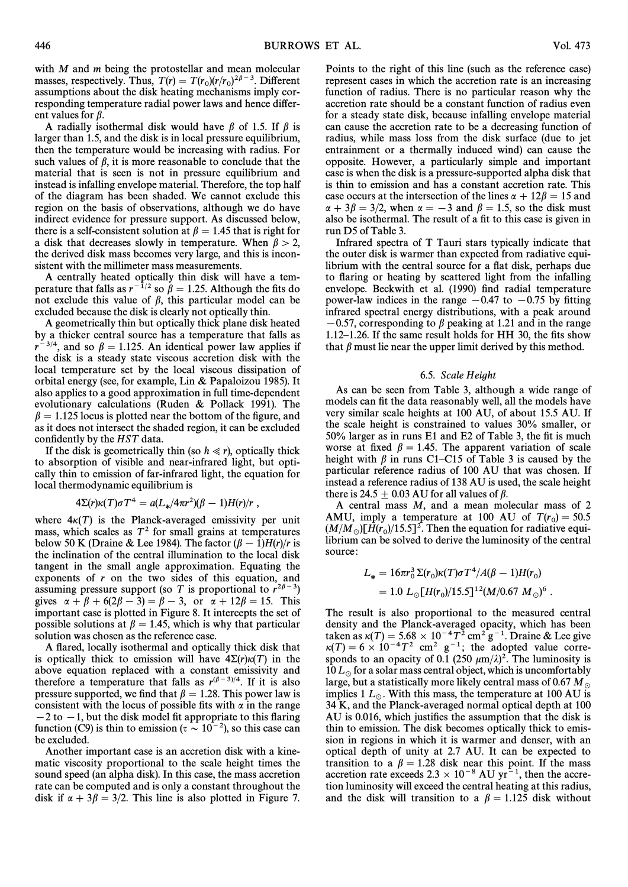with *M* and *m* being the protostellar and mean molecular masses, respectively. Thus,  $T(r) = T(r_0)(r/r_0)^{2\beta - 3}$ . Different  $\frac{1}{2}$  assumptions about the disk heating mechanisms imply corresponding temperature radial power laws and hence different values for  $\beta$ .

A radially isothermal disk would have  $\beta$  of 1.5. If  $\beta$  is larger than 1.5, and the disk is in local pressure equilibrium, then the temperature would be increasing with radius. For such values of  $\beta$ , it is more reasonable to conclude that the material that is seen is not in pressure equilibrium and instead is infalling envelope material. Therefore, the top half of the diagram has been shaded. We cannot exclude this region on the basis of observations, although we do have indirect evidence for pressure support. As discussed below, there is a self-consistent solution at  $\beta = 1.45$  that is right for a disk that decreases slowly in temperature. When  $\beta > 2$ , the derived disk mass becomes very large, and this is inconsistent with the millimeter mass measurements.

A centrally heated optically thin disk will have a temperature that falls as  $r^{-1/2}$  so  $\beta = 1.25$ . Although the fits do not exclude this value of  $\beta$ , this particular model can be excluded because the disk is clearly not optically thin.

A geometrically thin but optically thick plane disk heated by a thicker central source has a temperature that falls as  $r^{-3/4}$ , and so  $\beta = 1.125$ . An identical power law applies if the disk is a steady state viscous accretion disk with the local temperature set by the local viscous dissipation of orbital energy (see, for example, Lin & Papaloizou 1985). It also applies to a good approximation in full time-dependent evolutionary calculations (Ruden  $&$  Pollack 1991). The  $\beta = 1.125$  locus is plotted near the bottom of the figure, and as it does not intersect the shaded region, it can be excluded confidently by the *HST* data.

If the disk is geometrically thin (so  $h \ll r$ ), optically thick to absorption of visible and near-infrared light, but optically thin to emission of far-infrared light, the equation for local thermodynamic equilibrium is

$$
4\Sigma(r)\kappa(T)\sigma T^4 = a(L_*/4\pi r^2)(\beta - 1)H(r)/r,
$$

where  $4\kappa(T)$  is the Planck-averaged emissivity per unit mass, which scales as  $T<sup>2</sup>$  for small grains at temperatures below 50 K (Draine & Lee 1984). The factor  $(\beta - 1)H(r)/r$  is the inclination of the central illumination to the local disk tangent in the small angle approximation. Equating the exponents of  $r$  on the two sides of this equation, and assuming pressure support (so T is proportional to  $r^{2\beta-3}$ ) gives  $\alpha + \beta + 6(2\beta - 3) = \beta - 3$ , or  $\alpha + 12\beta = 15$ . This important case is plotted in Figure 8. It intercepts the set of possible solutions at  $\beta = 1.45$ , which is why that particular solution was chosen as the reference case.

A Ñared, locally isothermal and optically thick disk that is optically thick to emission will have  $4\Sigma(r)\kappa(T)$  in the above equation replaced with a constant emissivity and therefore a temperature that falls as  $r^{(\beta-3)/4}$ . If it is also pressure supported, we find that  $\beta = 1.28$ . This power law is consistent with the locus of possible fits with  $\alpha$  in the range  $-2$  to  $-1$ , but the disk model fit appropriate to this flaring function (C9) is thin to emission ( $\tau \sim 10^{-2}$ ), so this case can be excluded.

Another important case is an accretion disk with a kinematic viscosity proportional to the scale height times the sound speed (an alpha disk). In this case, the mass accretion rate can be computed and is only a constant throughout the disk if  $\alpha + 3\beta = 3/2$ . This line is also plotted in Figure 7.

Points to the right of this line (such as the reference case) represent cases in which the accretion rate is an increasing function of radius. There is no particular reason why the accretion rate should be a constant function of radius even for a steady state disk, because infalling envelope material can cause the accretion rate to be a decreasing function of radius, while mass loss from the disk surface (due to jet entrainment or a thermally induced wind) can cause the opposite. However, a particularly simple and important case is when the disk is a pressure-supported alpha disk that is thin to emission and has a constant accretion rate. This case occurs at the intersection of the lines  $\alpha + 12\beta = 15$  and  $\alpha + 3\beta = 3/2$ , when  $\alpha = -3$  and  $\beta = 1.5$ , so the disk must also be isothermal. The result of a fit to this case is given in run D5 of Table 3.

Infrared spectra of T Tauri stars typically indicate that the outer disk is warmer than expected from radiative equilibrium with the central source for a flat disk, perhaps due to flaring or heating by scattered light from the infalling envelope. Beckwith et al. (1990) find radial temperature power-law indices in the range  $-0.47$  to  $-0.75$  by fitting infrared spectral energy distributions, with a peak around  $-0.57$ , corresponding to  $\beta$  peaking at 1.21 and in the range 1.12 $-1.26$ . If the same result holds for HH 30, the fits show that  $\beta$  must lie near the upper limit derived by this method.

## 6.5. Scale Height

As can be seen from Table 3, although a wide range of models can fit the data reasonably well, all the models have very similar scale heights at 100 AU, of about 15.5 AU. If the scale height is constrained to values 30% smaller, or  $50\%$  larger as in runs E1 and E2 of Table 3, the fit is much worse at fixed  $\beta = 1.45$ . The apparent variation of scale height with  $\beta$  in runs C1–C15 of Table 3 is caused by the particular reference radius of 100 AU that was chosen. If instead a reference radius of 138 AU is used, the scale height there is 24.5  $\pm$  0.03 AU for all values of  $\beta$ .

A central mass M, and a mean molecular mass of 2 AMU, imply a temperature at 100 AU of  $T(r_0) = 50.5$  $(M/M)$ , liney a component of resolution for radiative equi-<br>( $M/M$ ) [H(r<sub>0</sub>)/15.5]<sup>2</sup>. Then the equation for radiative equi-<br>librium can be solved to derive the luminosity of the central  $\lim_{M \to \infty} \sum_{n=1}^{\infty}$  consists the luminosity of the central source:

$$
L_* = 16\pi r_0^3 \Sigma(r_0) \kappa(T) \sigma T^4 / A(\beta - 1) H(r_0)
$$
  
= 1.0  $L_{\odot} [H(r_0) / 15.5]^{12} (M / 0.67 M_{\odot})^6$ .

The result is also proportional to the measured central density and the Planck-averaged opacity, which has been taken as  $\kappa(T) = 5.68 \times 10^{-4} T^2 \text{ cm}^2 \text{ g}^{-1}$ . Draine & Lee give  $\kappa(T) = 6 \times 10^{-4} T^2$  cm<sup>2</sup> g<sup>-1</sup>; the adopted value corresponds to an opacity of 0.1 (250  $\mu$ m/ $\lambda$ )<sup>2</sup>. The luminosity is 10  $L_{\odot}$  for a solar mass central object, which is uncomfortably large, but a statistically more likely central mass of 0.67 M<sub> $\odot$ </sub> implies 1  $L_{\odot}$ . With this mass, the temperature at 100 AU is 34 K, and the Planck-averaged normal optical depth at 100 AU is 0.016, which justifies the assumption that the disk is thin to emission. The disk becomes optically thick to emission in regions in which it is warmer and denser, with an optical depth of unity at 2.7 AU. It can be expected to transition to a  $\beta = 1.28$  disk near this point. If the mass accretion rate exceeds  $2.3 \times 10^{-8}$  AU yr<sup>-1</sup>, then the accretion luminosity will exceed the central heating at this radius, and the disk will transition to a  $\beta = 1.125$  disk without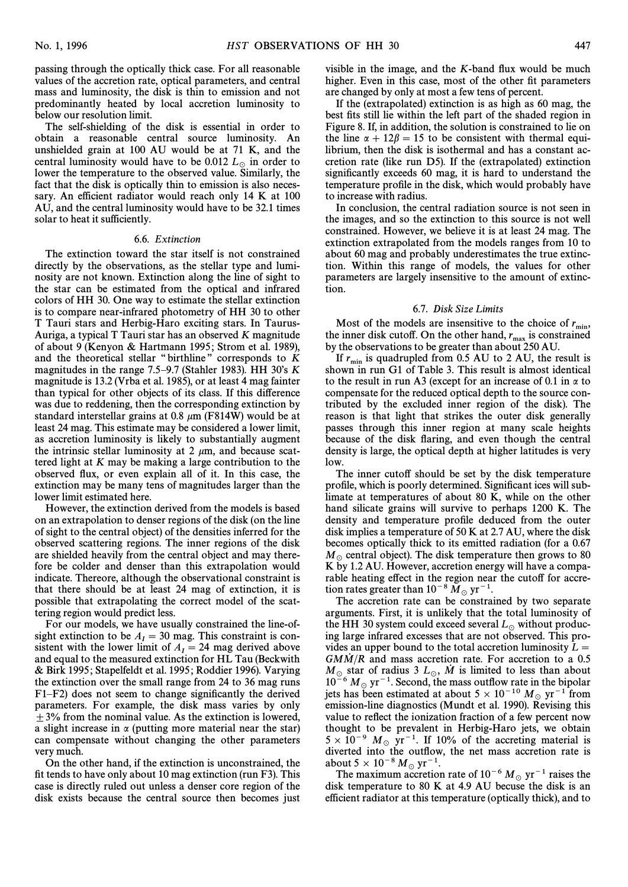passing through the optically thick case. For all reasonable values of the accretion rate, optical parameters, and central mass and luminosity, the disk is thin to emission and not predominantly heated by local accretion luminosity to below our resolution limit.

The self-shielding of the disk is essential in order to obtain a reasonable central source luminosity. An unshielded grain at 100 AU would be at 71 K, and the central luminosity would have to be 0.012  $L_{\odot}$  in order to lower the temperature to the observed value. Similarly, the fact that the disk is optically thin to emission is also necessary. An efficient radiator would reach only 14 K at 100 AU, and the central luminosity would have to be 32.1 times solar to heat it sufficiently.

## 6.6. Extinction

The extinction toward the star itself is not constrained directly by the observations, as the stellar type and luminosity are not known. Extinction along the line of sight to the star can be estimated from the optical and infrared colors of HH 30. One way to estimate the stellar extinction is to compare near-infrared photometry of HH 30 to other T Tauri stars and Herbig-Haro exciting stars. In Taurus-Auriga, a typical T Tauri star has an observed K magnitude of about 9 (Kenyon & Hartmann 1995; Strom et al. 1989), and the theoretical stellar "birthline" corresponds to  $K$ magnitudes in the range 7.5–9.7 (Stahler 1983). HH 30's  $K$ magnitude is 13.2 (Vrba et al. 1985), or at least 4 mag fainter than typical for other objects of its class. If this difference was due to reddening, then the corresponding extinction by standard interstellar grains at 0.8  $\mu$ m (F814W) would be at least 24 mag. This estimate may be considered a lower limit, as accretion luminosity is likely to substantially augment the intrinsic stellar luminosity at 2  $\mu$ m, and because scattered light at K may be making a large contribution to the observed Ñux, or even explain all of it. In this case, the extinction may be many tens of magnitudes larger than the lower limit estimated here.

However, the extinction derived from the models is based on an extrapolation to denser regions of the disk (on the line of sight to the central object) of the densities inferred for the observed scattering regions. The inner regions of the disk are shielded heavily from the central object and may therefore be colder and denser than this extrapolation would indicate. Thereore, although the observational constraint is that there should be at least 24 mag of extinction, it is possible that extrapolating the correct model of the scattering region would predict less.

For our models, we have usually constrained the line-ofsight extinction to be  $A<sub>I</sub> = 30$  mag. This constraint is con-<br>sistent with the lower limit of  $A = 24$  mag derived above sistent with the lower limit of  $A<sub>I</sub> = 24$  mag derived above<br>and equal to the measured extinction for HI. Tau (Beckwith and equal to the measured extinction for HL Tau (Beckwith & Birk 1995; Stapelfeldt et al. 1995; Roddier 1996). Varying the extinction over the small range from 24 to 36 mag runs  $F1-F2$ ) does not seem to change significantly the derived parameters. For example, the disk mass varies by only  $\pm$  3% from the nominal value. As the extinction is lowered, a slight increase in  $\alpha$  (putting more material near the star) can compensate without changing the other parameters very much.

On the other hand, if the extinction is unconstrained, the fit tends to have only about 10 mag extinction (run  $F3$ ). This case is directly ruled out unless a denser core region of the disk exists because the central source then becomes just visible in the image, and the  $K$ -band flux would be much higher. Even in this case, most of the other fit parameters are changed by only at most a few tens of percent.

If the (extrapolated) extinction is as high as 60 mag, the best fits still lie within the left part of the shaded region in Figure 8. If, in addition, the solution is constrained to lie on the line  $\alpha + 12\beta = 15$  to be consistent with thermal equilibrium, then the disk is isothermal and has a constant accretion rate (like run D5). If the (extrapolated) extinction significantly exceeds 60 mag, it is hard to understand the temperature profile in the disk, which would probably have to increase with radius.

In conclusion, the central radiation source is not seen in the images, and so the extinction to this source is not well constrained. However, we believe it is at least 24 mag. The extinction extrapolated from the models ranges from 10 to about 60 mag and probably underestimates the true extinction. Within this range of models, the values for other parameters are largely insensitive to the amount of extinction.

#### 6.7. Disk Size Limits

Most of the models are insensitive to the choice of  $r_{\text{min}}$ ,<br>a inner disk cutoff. On the other hand, r is constrained the inner disk cutoff. On the other hand,  $r_{\text{max}}$  is constrained by the observations to be greater than about 250 AU.

If  $r_{\text{min}}$  is quadrupled from 0.5 AU to 2 AU, the result is shown in run G1 of Table 3. This result is almost identical to the result in run A3 (except for an increase of 0.1 in  $\alpha$  to compensate for the reduced optical depth to the source contributed by the excluded inner region of the disk). The reason is that light that strikes the outer disk generally passes through this inner region at many scale heights because of the disk Ñaring, and even though the central density is large, the optical depth at higher latitudes is very low.

The inner cutoff should be set by the disk temperature profile, which is poorly determined. Significant ices will sublimate at temperatures of about 80 K, while on the other hand silicate grains will survive to perhaps 1200 K. The density and temperature profile deduced from the outer disk implies a temperature of 50 K at 2.7 AU, where the disk becomes optically thick to its emitted radiation (for a 0.67  $M_{\odot}$  central object). The disk temperature then grows to 80 K by 1.2 AU. However, accretion energy will have a comparable heating effect in the region near the cutoff for accre-

tion rates greater than  $10^{-8} M_{\odot} \text{ yr}^{-1}$ .<br>The accretion rate can be constrained by two separate arguments. First, it is unlikely that the total luminosity of the HH 30 system could exceed several  $L_{\odot}$  without producing large infrared excesses that are not observed. This provides an upper bound to the total accretion luminosity  $L =$  $GM\dot{M}/R$  and mass accretion rate. For accretion to a 0.5  $M_{\odot}$  star of radius 3  $L_{\odot}$ , M is limited to less than about  $10^{-6} M_{\odot}$  yr<sup>-1</sup>. Second, the mass outflow rate in the bipolar is the boundary of the mass outflow rate in the bipolar jets has been estimated at about  $5 \times 10^{-10} M_{\odot} \text{ yr}^{-1}$  from emission-line diagnostics (Mundt et al. 1990). Pewising this emission-line diagnostics (Mundt et al. 1990). Revising this value to reflect the ionization fraction of a few percent now thought to be prevalent in Herbig-Haro jets, we obtain  $5 \times 10^{-9}$   $M_{\odot}$  yr<sup>-1</sup>. If 10% of the accreting material is diverted into the outflow, the net mass accretion rate is about  $5 \times 10^{-8} M_{\odot} \text{ yr}^{-1}$ .<br>The maximum accretion

The maximum accretion rate of  $10^{-6} M_{\odot}$  yr<sup>-1</sup> raises the disk temperature to 80 K at 4.9 AU becuse the disk is an efficient radiator at this temperature (optically thick), and to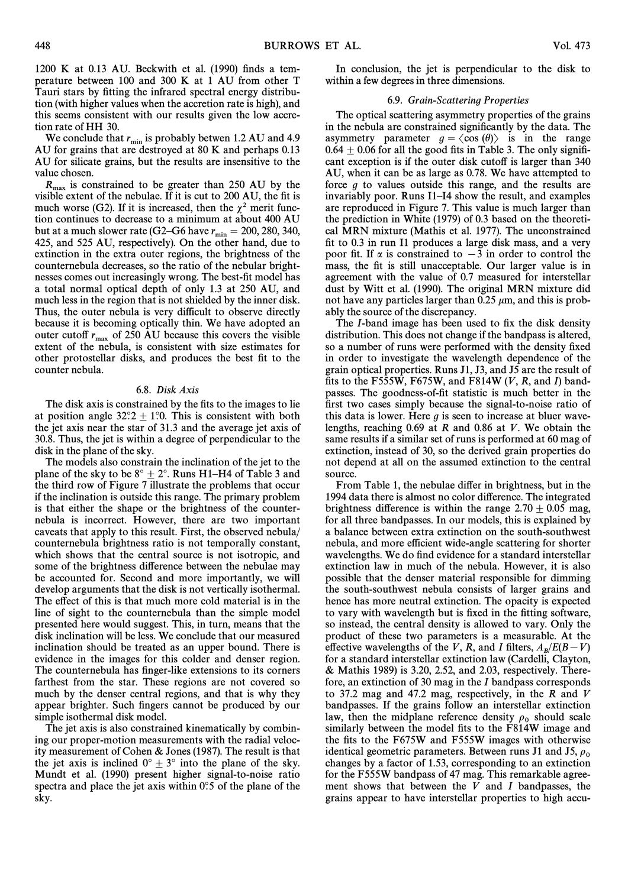$1200$  K at 0.13 AU. Beckwith et al. (1990) finds a temperature between 100 and 300 K at 1 AU from other T Tauri stars by fitting the infrared spectral energy distribution (with higher values when the accretion rate is high), and this seems consistent with our results given the low accretion rate of HH 30.

We conclude that  $r_{\min}$  is probably betwen 1.2 AU and 4.9 AU for grains that are destroyed at 80 K and perhaps 0.13 AU for silicate grains, but the results are insensitive to the value chosen.

 $R_{\text{max}}$  is constrained to be greater than 250 AU by the visible extent of the nebulae. If it is cut to 200 AU, the fit is much worse (G2). If it is increased, then the  $\chi^2$  merit function continues to decrease to a minimum at about 400 AU but at a much slower rate  $(G2-G6$  have  $r_{\min} = 200, 280, 340,$ <br>425, and 525 ALL respectively). On the other hand, due to 425, and 525 AU, respectively). On the other hand, due to extinction in the extra outer regions, the brightness of the counternebula decreases, so the ratio of the nebular brightnesses comes out increasingly wrong. The best-fit model has a total normal optical depth of only 1.3 at 250 AU, and much less in the region that is not shielded by the inner disk. Thus, the outer nebula is very difficult to observe directly because it is becoming optically thin. We have adopted an outer cutoff  $r_{\text{max}}$  of 250 AU because this covers the visible extent of the nebula, is consistent with size estimates for other protostellar disks, and produces the best fit to the counter nebula.

## 6.8. Disk Axis

The disk axis is constrained by the fits to the images to lie at position angle  $32^{\circ}2 \pm 1^{\circ}0$ . This is consistent with both the jet axis near the star of 31.3 and the average jet axis of 30.8. Thus, the jet is within a degree of perpendicular to the disk in the plane of the sky.

The models also constrain the inclination of the jet to the plane of the sky to be  $8^{\circ} \pm 2^{\circ}$ . Runs H1–H4 of Table 3 and the third row of Figure 7 illustrate the problems that occur if the inclination is outside this range. The primary problem is that either the shape or the brightness of the counternebula is incorrect. However, there are two important caveats that apply to this result. First, the observed nebula/ counternebula brightness ratio is not temporally constant, which shows that the central source is not isotropic, and some of the brightness difference between the nebulae may be accounted for. Second and more importantly, we will develop arguments that the disk is not vertically isothermal. The effect of this is that much more cold material is in the line of sight to the counternebula than the simple model presented here would suggest. This, in turn, means that the disk inclination will be less. We conclude that our measured inclination should be treated as an upper bound. There is evidence in the images for this colder and denser region. The counternebula has finger-like extensions to its corners farthest from the star. These regions are not covered so much by the denser central regions, and that is why they appear brighter. Such fingers cannot be produced by our simple isothermal disk model.

The jet axis is also constrained kinematically by combining our proper-motion measurements with the radial velocity measurement of Cohen & Jones (1987). The result is that the jet axis is inclined  $0^\circ \pm 3^\circ$  into the plane of the sky. Mundt et al. (1990) present higher signal-to-noise ratio spectra and place the jet axis within  $0^\circ$ ; of the plane of the sky.

In conclusion, the jet is perpendicular to the disk to within a few degrees in three dimensions.

#### 6.9. Grain-Scattering Properties

The optical scattering asymmetry properties of the grains in the nebula are constrained significantly by the data. The asymmetry parameter  $g = \langle \cos (\theta) \rangle$  is in the range  $0.64 \pm 0.06$  for all the good fits in Table 3. The only significant exception is if the outer disk cutoff is larger than 340 AU, when it can be as large as 0.78. We have attempted to force  $g$  to values outside this range, and the results are invariably poor. Runs  $I1-I4$  show the result, and examples are reproduced in Figure 7. This value is much larger than the prediction in White  $(1979)$  of 0.3 based on the theoretical MRN mixture (Mathis et al. 1977). The unconstrained fit to 0.3 in run I1 produces a large disk mass, and a very poor fit. If  $\alpha$  is constrained to  $-3$  in order to control the mass, the fit is still unacceptable. Our larger value is in agreement with the value of 0.7 measured for interstellar dust by Witt et al. (1990). The original MRN mixture did not have any particles larger than  $0.25 \mu m$ , and this is probably the source of the discrepancy.

The *I*-band image has been used to fix the disk density distribution. This does not change if the bandpass is altered, so a number of runs were performed with the density fixed in order to investigate the wavelength dependence of the grain optical properties. Runs J1, J3, and J5 are the result of fits to the F555W, F675W, and F814W  $(V, R,$  and I) bandpasses. The goodness-of-fit statistic is much better in the first two cases simply because the signal-to-noise ratio of this data is lower. Here  $g$  is seen to increase at bluer wavelengths, reaching 0.69 at R and 0.86 at V. We obtain the same results if a similar set of runs is performed at 60 mag of extinction, instead of 30, so the derived grain properties do not depend at all on the assumed extinction to the central source.

From Table 1, the nebulae differ in brightness, but in the 1994 data there is almost no color difference. The integrated brightness difference is within the range  $2.70 \pm 0.05$  mag, for all three bandpasses. In our models, this is explained by a balance between extra extinction on the south-southwest nebula, and more efficient wide-angle scattering for shorter wavelengths. We do find evidence for a standard interstellar extinction law in much of the nebula. However, it is also possible that the denser material responsible for dimming the south-southwest nebula consists of larger grains and hence has more neutral extinction. The opacity is expected to vary with wavelength but is fixed in the fitting software, so instead, the central density is allowed to vary. Only the product of these two parameters is a measurable. At the effective wavelengths of the V, R, and I filters,  $A_B/E(B-V)$ <br>for a standard interstellar extinction law (Cardelli, Clayton for a standard interstellar extinction law (Cardelli, Clayton, & Mathis 1989) is 3.20, 2.52, and 2.03, respectively. Therefore, an extinction of 30 mag in the I bandpass corresponds to 37.2 mag and 47.2 mag, respectively, in the R and V bandpasses. If the grains follow an interstellar extinction law, then the midplane reference density  $\rho_0$  should scale similarly between the model fits to the F814W image and the fits to the F675W and F555W images with otherwise identical geometric parameters. Between runs J1 and J5,  $\rho_0$ changes by a factor of 1.53, corresponding to an extinction for the F555W bandpass of 47 mag. This remarkable agreement shows that between the  $V$  and  $I$  bandpasses, the grains appear to have interstellar properties to high accu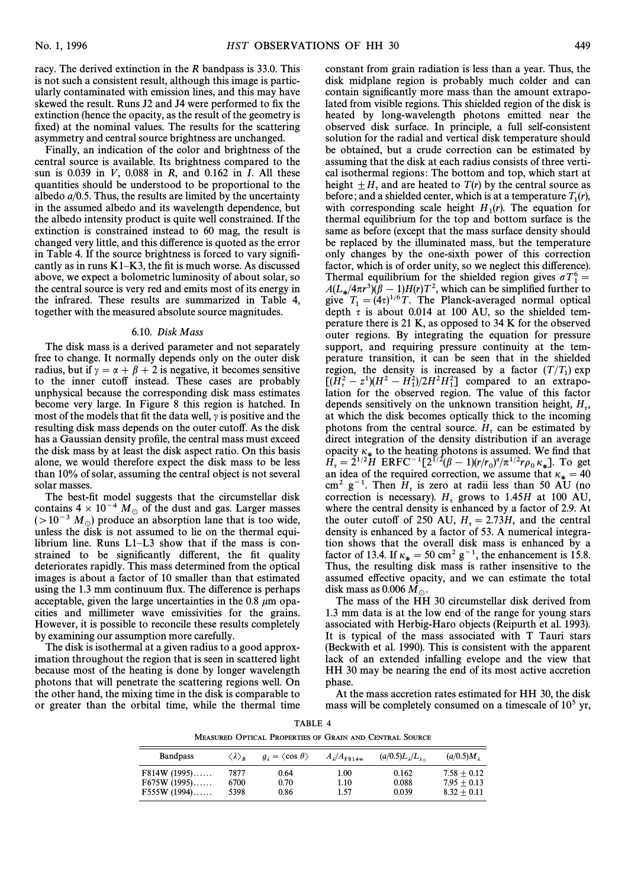racy. The derived extinction in the R bandpass is 33.0. This is not such a consistent result, although this image is particularly contaminated with emission lines, and this may have skewed the result. Runs J2 and J4 were performed to fix the extinction (hence the opacity, as the result of the geometry is fixed) at the nominal values. The results for the scattering asymmetry and central source brightness are unchanged.

Finally, an indication of the color and brightness of the central source is available. Its brightness compared to the sun is 0.039 in  $V$ , 0.088 in  $R$ , and 0.162 in  $I$ . All these quantities should be understood to be proportional to the albedo  $a/0.5$ . Thus, the results are limited by the uncertainty in the assumed albedo and its wavelength dependence, but the albedo intensity product is quite well constrained. If the extinction is constrained instead to 60 mag, the result is changed very little, and this di†erence is quoted as the error in Table 4. If the source brightness is forced to vary significantly as in runs  $K1-K3$ , the fit is much worse. As discussed above, we expect a bolometric luminosity of about solar, so the central source is very red and emits most of its energy in the infrared. These results are summarized in Table 4, together with the measured absolute source magnitudes.

## 6.10. Disk Mass

The disk mass is a derived parameter and not separately free to change. It normally depends only on the outer disk radius, but if  $\gamma = \alpha + \beta + 2$  is negative, it becomes sensitive to the inner cutoff instead. These cases are probably unphysical because the corresponding disk mass estimates become very large. In Figure 8 this region is hatched. In most of the models that fit the data well,  $\gamma$  is positive and the resulting disk mass depends on the outer cutoff. As the disk has a Gaussian density profile, the central mass must exceed the disk mass by at least the disk aspect ratio. On this basis alone, we would therefore expect the disk mass to be less than 10% of solar, assuming the central object is not several solar masses.

The best-fit model suggests that the circumstellar disk contains  $4 \times 10^{-4} M_{\odot}$  of the dust and gas. Larger masses  $(>10^{-3} M_{\odot})$  produce an absorption lane that is too wide, unless the disk is not assumed to lie on the thermal equilibrium line. Runs  $L1-L3$  show that if the mass is constrained to be significantly different, the fit quality deteriorates rapidly. This mass determined from the optical images is about a factor of 10 smaller than that estimated using the 1.3 mm continuum flux. The difference is perhaps acceptable, given the large uncertainties in the 0.8  $\mu$ m opacities and millimeter wave emissivities for the grains. However, it is possible to reconcile these results completely by examining our assumption more carefully.

The disk is isothermal at a given radius to a good approximation throughout the region that is seen in scattered light because most of the heating is done by longer wavelength photons that will penetrate the scattering regions well. On the other hand, the mixing time in the disk is comparable to or greater than the orbital time, while the thermal time constant from grain radiation is less than a year. Thus, the disk midplane region is probably much colder and can contain significantly more mass than the amount extrapolated from visible regions. This shielded region of the disk is heated by long-wavelength photons emitted near the observed disk surface. In principle, a full self-consistent solution for the radial and vertical disk temperature should be obtained, but a crude correction can be estimated by assuming that the disk at each radius consists of three vertical isothermal regions: The bottom and top, which start at height  $\pm H_{\tau}$  and are heated to  $T(r)$  by the central source as before; and a shielded center, which is at a temperature  $T_1(r)$ , with corresponding scale height  $H_1(r)$ . The equation for<br>when the expedimental equation for the top and better surface is the thermal equilibrium for the top and bottom surface is the same as before (except that the mass surface density should be replaced by the illuminated mass, but the temperature only changes by the one-sixth power of this correction factor, which is of order unity, so we neglect this difference). Thermal equilibrium for the shielded region gives  $\sigma T_1^6$ <br> $\frac{1}{4}$   $(1 - (4\pi r^3)(8 - 1)H(r)T^2)$  which can be simplified further Thermal equilibrium for the shielded region gives  $\sigma T_1^6$  =  $A(L_*/4\pi r^3)(\beta - 1)H(r)T^2$ , which can be simplified further to  $\sin^2 T = (4r)^{1/6}T$ . The Planck-averaged normal optical give  $T_1 = (4\tau)^{1/6}T$ . The Planck-averaged normal optical denth  $\tau$  is about 0.014 at 100 ALL so the shielded temp depth  $\tau$  is about 0.014 at 100 AU, so the shielded temperature there is 21 K, as opposed to 34 K for the observed outer regions. By integrating the equation for pressure support, and requiring pressure continuity at the temperature transition, it can be seen that in the shielded region, the density is increased by a factor  $(T/T_1)$  exp  $[(H_c^2 - z^2)(H^2 - H_1^2)/2H^2H_1^2]$  compared to an extrapo-<br>lation for the observed region. The value of this factor lation for the observed region. The value of this factor depends sensitively on the unknown transition height,  $H_t$ , at which the disk becomes optically thick to the incoming at which the disk becomes optically thick to the incoming photons from the central source.  $H<sub>r</sub>$  can be estimated by direct integration of the density distribution if an average opacity  $\kappa_*$  to the heating photons is assumed. We find that  $H_{\tau} = 2^{1/2}H \text{ ERFC}^{-1}[2^{1/2}(\beta - 1)(r/r_0)^{\alpha}/\pi^{1/2}r\rho_0 \kappa_*]$ . To get an idea of the required correction we assume that  $\kappa_* = 40$  $\frac{d}{dt} = 2$  in EKI  $\bigcup_{n=1}^{\infty} \frac{1}{(n+1)(1/n)^{n}}$  is  $\frac{d}{dt} = 40$ <br>an idea of the required correction, we assume that  $\kappa_x = 40$ cm<sup>2</sup> g<sup>-1</sup>. Then  $H_t$  is zero at radii less than 50 AU (no correction is necessary).  $H_t$  grows to 1.45H at 100 AU, where the central density is enhanced by a factor of 2.9. At the outer cutoff of 250 AU,  $H_z = 2.73H$ , and the central density is enhanced by a factor of 53. A numerical integral density is enhanced by a factor of 53. A numerical integration shows that the overall disk mass is enhanced by a factor of 13.4. If  $\kappa_* = 50 \text{ cm}^2 \text{ g}^{-1}$ , the enhancement is 15.8. Thus, the resulting disk mass is rather insensitive to the assumed effective opacity, and we can estimate the total disk mass as 0.006  $M_{\odot}$ .

The mass of the HH 30 circumstellar disk derived from 1.3 mm data is at the low end of the range for young stars associated with Herbig-Haro objects (Reipurth et al. 1993). It is typical of the mass associated with T Tauri stars (Beckwith et al. 1990). This is consistent with the apparent lack of an extended infalling evelope and the view that HH 30 may be nearing the end of its most active accretion phase.

At the mass accretion rates estimated for HH 30, the disk mass will be completely consumed on a timescale of  $10<sup>5</sup>$  yr,

TABLE 4 MEASURED OPTICAL PROPERTIES OF GRAIN AND CENTRAL SOURCE

| <b>Bandpass</b>                                   | $\langle \lambda \rangle_{\bf p}$ | $q_1 = \langle \cos \theta \rangle$ | $A_{\lambda}/A_{\text{F814w}}$ | $(a/0.5)L_{\lambda}/L_{\lambda_{0}}$ | (a/0.5)M,                                       |
|---------------------------------------------------|-----------------------------------|-------------------------------------|--------------------------------|--------------------------------------|-------------------------------------------------|
| $F814W (1995)$<br>$F675W(1995)$<br>$F555W (1994)$ | 7877<br>6700<br>5398              | 0.64<br>0.70<br>0.86                | 1.00<br>1.10<br>1.57           | 0.162<br>0.088<br>0.039              | $7.58 + 0.12$<br>$7.95 + 0.13$<br>$8.32 + 0.11$ |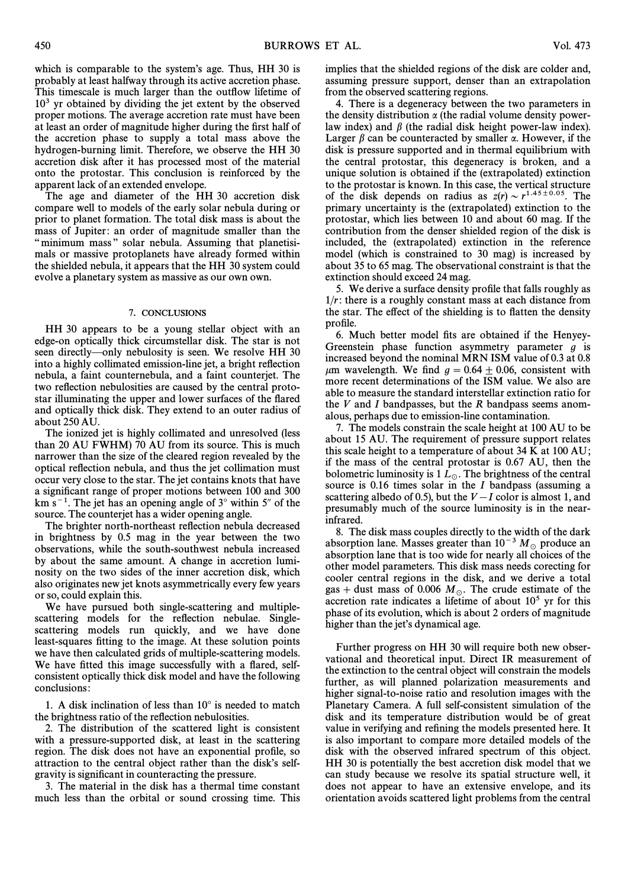which is comparable to the system's age. Thus, HH 30 is probably at least halfway through its active accretion phase. This timescale is much larger than the outflow lifetime of  $10<sup>3</sup>$  yr obtained by dividing the jet extent by the observed proper motions. The average accretion rate must have been at least an order of magnitude higher during the first half of the accretion phase to supply a total mass above the hydrogen-burning limit. Therefore, we observe the HH 30 accretion disk after it has processed most of the material onto the protostar. This conclusion is reinforced by the apparent lack of an extended envelope.

The age and diameter of the HH 30 accretion disk compare well to models of the early solar nebula during or prior to planet formation. The total disk mass is about the mass of Jupiter: an order of magnitude smaller than the "minimum mass" solar nebula. Assuming that planetisimals or massive protoplanets have already formed within the shielded nebula, it appears that the HH 30 system could evolve a planetary system as massive as our own own.

#### 7. CONCLUSIONS

HH 30 appears to be a young stellar object with an edge-on optically thick circumstellar disk. The star is not seen directly—only nebulosity is seen. We resolve HH 30 into a highly collimated emission-line jet, a bright reflection nebula, a faint counternebula, and a faint counterjet. The two reflection nebulosities are caused by the central protostar illuminating the upper and lower surfaces of the flared and optically thick disk. They extend to an outer radius of about 250 AU.

The ionized jet is highly collimated and unresolved (less than 20 AU FWHM) 70 AU from its source. This is much narrower than the size of the cleared region revealed by the optical reflection nebula, and thus the jet collimation must occur very close to the star. The jet contains knots that have a significant range of proper motions between 100 and 300 km  $s^{-1}$ . The jet has an opening angle of  $3^{\circ}$  within  $5^{\prime\prime}$  of the source. The counterjet has a wider opening angle.

The brighter north-northeast reflection nebula decreased in brightness by 0.5 mag in the year between the two observations, while the south-southwest nebula increased by about the same amount. A change in accretion luminosity on the two sides of the inner accretion disk, which also originates new jet knots asymmetrically every few years or so, could explain this.

We have pursued both single-scattering and multiplescattering models for the reflection nebulae. Singlescattering models run quickly, and we have done least-squares fitting to the image. At these solution points we have then calculated grids of multiple-scattering models. We have fitted this image successfully with a flared, selfconsistent optically thick disk model and have the following conclusions:

1. A disk inclination of less than  $10^{\circ}$  is needed to match the brightness ratio of the reflection nebulosities.

2. The distribution of the scattered light is consistent with a pressure-supported disk, at least in the scattering region. The disk does not have an exponential profile, so attraction to the central object rather than the disk's selfgravity is significant in counteracting the pressure.

3. The material in the disk has a thermal time constant much less than the orbital or sound crossing time. This implies that the shielded regions of the disk are colder and, assuming pressure support, denser than an extrapolation from the observed scattering regions.

4. There is a degeneracy between the two parameters in the density distribution  $\alpha$  (the radial volume density powerlaw index) and  $\beta$  (the radial disk height power-law index). Larger  $\beta$  can be counteracted by smaller  $\alpha$ . However, if the disk is pressure supported and in thermal equilibrium with the central protostar, this degeneracy is broken, and a unique solution is obtained if the (extrapolated) extinction to the protostar is known. In this case, the vertical structure of the disk depends on radius as  $z(r) \sim r^{1.45 \pm 0.05}$ . The primary uncertainty is the (extrapolated) extinction to the protostar, which lies between 10 and about 60 mag. If the contribution from the denser shielded region of the disk is included, the (extrapolated) extinction in the reference model (which is constrained to 30 mag) is increased by about 35 to 65 mag. The observational constraint is that the extinction should exceed 24 mag.

5. We derive a surface density profile that falls roughly as  $1/r$ : there is a roughly constant mass at each distance from the star. The effect of the shielding is to flatten the density profile.

6. Much better model fits are obtained if the Henyey-Greenstein phase function asymmetry parameter  $g$  is increased beyond the nominal MRN ISM value of 0.3 at 0.8  $\mu$ m wavelength. We find  $g = 0.64 \pm 0.06$ , consistent with more recent determinations of the ISM value. We also are able to measure the standard interstellar extinction ratio for the  $V$  and  $I$  bandpasses, but the  $R$  bandpass seems anomalous, perhaps due to emission-line contamination.

7. The models constrain the scale height at 100 AU to be about 15 AU. The requirement of pressure support relates this scale height to a temperature of about 34 K at 100 AU; if the mass of the central protostar is 0.67 AU, then the bolometric luminosity is  $1 L_{\odot}$ . The brightness of the central source is  $0.16$  times solar in the  $I$  bandpass (assuming a scattering albedo of 0.5), but the  $V-I$  color is almost 1, and presumably much of the source luminosity is in the nearinfrared.

8. The disk mass couples directly to the width of the dark absorption lane. Masses greater than  $10^{-3} M_{\odot}$  produce an absorption lane that is too wide for nearly all choices of the other model parameters. This disk mass needs corecting for cooler central regions in the disk, and we derive a total gas + dust mass of 0.006  $M_\odot$ . The crude estimate of the accretion rate indicates a lifetime of about  $10<sup>5</sup>$  yr for this phase of its evolution, which is about 2 orders of magnitude higher than the jet's dynamical age.

Further progress on HH 30 will require both new observational and theoretical input. Direct IR measurement of the extinction to the central object will constrain the models further, as will planned polarization measurements and higher signal-to-noise ratio and resolution images with the Planetary Camera. A full self-consistent simulation of the disk and its temperature distribution would be of great value in verifying and refining the models presented here. It is also important to compare more detailed models of the disk with the observed infrared spectrum of this object. HH 30 is potentially the best accretion disk model that we can study because we resolve its spatial structure well, it does not appear to have an extensive envelope, and its orientation avoids scattered light problems from the central